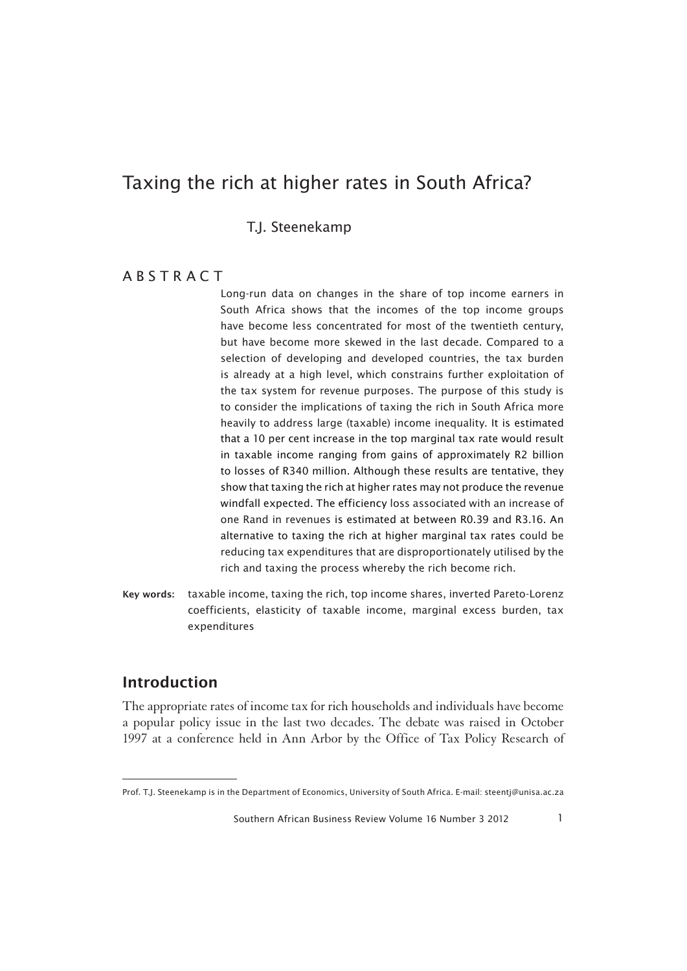T.J. Steenekamp

### **ARSTRACT**

Long-run data on changes in the share of top income earners in South Africa shows that the incomes of the top income groups have become less concentrated for most of the twentieth century, but have become more skewed in the last decade. Compared to a selection of developing and developed countries, the tax burden is already at a high level, which constrains further exploitation of the tax system for revenue purposes. The purpose of this study is to consider the implications of taxing the rich in South Africa more heavily to address large (taxable) income inequality. It is estimated that a 10 per cent increase in the top marginal tax rate would result in taxable income ranging from gains of approximately R2 billion to losses of R340 million. Although these results are tentative, they show that taxing the rich at higher rates may not produce the revenue windfall expected. The efficiency loss associated with an increase of one Rand in revenues is estimated at between R0.39 and R3.16. An alternative to taxing the rich at higher marginal tax rates could be reducing tax expenditures that are disproportionately utilised by the rich and taxing the process whereby the rich become rich.

Key words: taxable income, taxing the rich, top income shares, inverted Pareto-Lorenz coefficients, elasticity of taxable income, marginal excess burden, tax expenditures

## Introduction

1The appropriate rates of income tax for rich households and individuals have become a popular policy issue in the last two decades. The debate was raised in October 1997 at a conference held in Ann Arbor by the Office of Tax Policy Research of

Prof. T.J. Steenekamp is in the Department of Economics, University of South Africa. E-mail: steentj@unisa.ac.za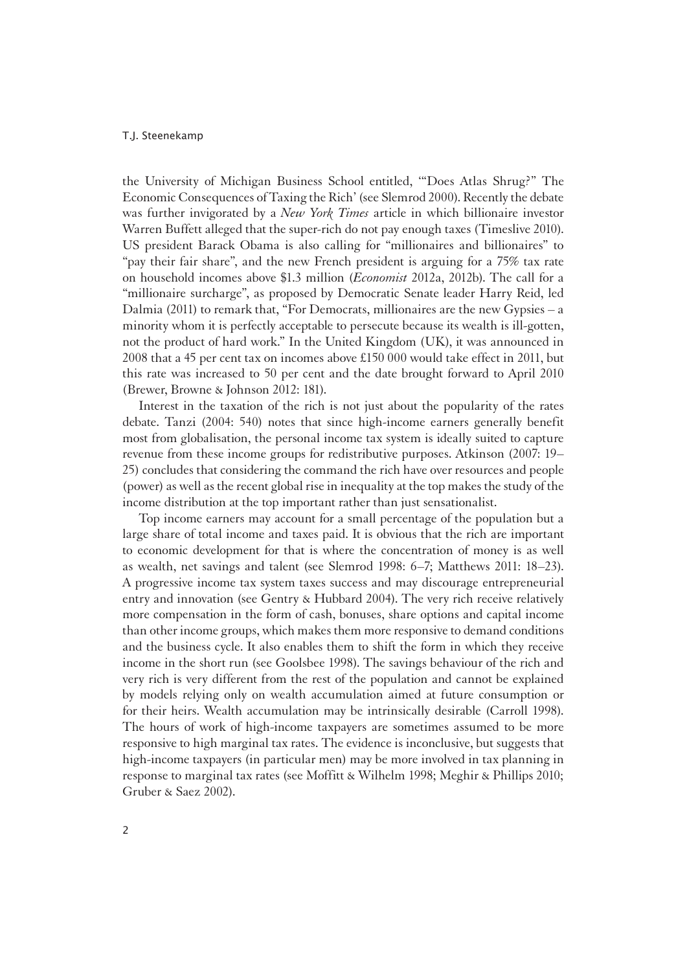the University of Michigan Business School entitled, '"Does Atlas Shrug?" The Economic Consequences of Taxing the Rich' (see Slemrod 2000). Recently the debate was further invigorated by a *New York Times* article in which billionaire investor Warren Buffett alleged that the super-rich do not pay enough taxes (Timeslive 2010). US president Barack Obama is also calling for "millionaires and billionaires" to "pay their fair share", and the new French president is arguing for a 75% tax rate on household incomes above \$1.3 million (*Economist* 2012a, 2012b). The call for a "millionaire surcharge", as proposed by Democratic Senate leader Harry Reid, led Dalmia (2011) to remark that, "For Democrats, millionaires are the new Gypsies – a minority whom it is perfectly acceptable to persecute because its wealth is ill-gotten, not the product of hard work." In the United Kingdom (UK), it was announced in 2008 that a 45 per cent tax on incomes above £150 000 would take effect in 2011, but this rate was increased to 50 per cent and the date brought forward to April 2010 (Brewer, Browne & Johnson 2012: 181).

Interest in the taxation of the rich is not just about the popularity of the rates debate. Tanzi (2004: 540) notes that since high-income earners generally benefit most from globalisation, the personal income tax system is ideally suited to capture revenue from these income groups for redistributive purposes. Atkinson (2007: 19– 25) concludes that considering the command the rich have over resources and people (power) as well as the recent global rise in inequality at the top makes the study of the income distribution at the top important rather than just sensationalist.

Top income earners may account for a small percentage of the population but a large share of total income and taxes paid. It is obvious that the rich are important to economic development for that is where the concentration of money is as well as wealth, net savings and talent (see Slemrod 1998: 6–7; Matthews 2011: 18–23). A progressive income tax system taxes success and may discourage entrepreneurial entry and innovation (see Gentry & Hubbard 2004). The very rich receive relatively more compensation in the form of cash, bonuses, share options and capital income than other income groups, which makes them more responsive to demand conditions and the business cycle. It also enables them to shift the form in which they receive income in the short run (see Goolsbee 1998). The savings behaviour of the rich and very rich is very different from the rest of the population and cannot be explained by models relying only on wealth accumulation aimed at future consumption or for their heirs. Wealth accumulation may be intrinsically desirable (Carroll 1998). The hours of work of high-income taxpayers are sometimes assumed to be more responsive to high marginal tax rates. The evidence is inconclusive, but suggests that high-income taxpayers (in particular men) may be more involved in tax planning in response to marginal tax rates (see Moffitt & Wilhelm 1998; Meghir & Phillips 2010; Gruber & Saez 2002).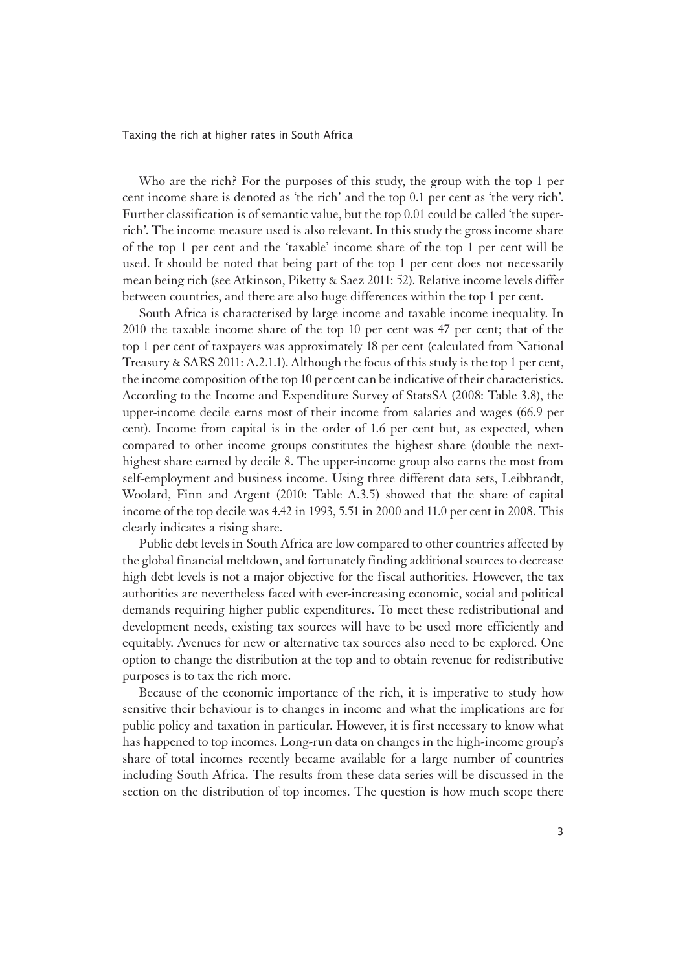Who are the rich? For the purposes of this study, the group with the top 1 per cent income share is denoted as 'the rich' and the top 0.1 per cent as 'the very rich'. Further classification is of semantic value, but the top 0.01 could be called 'the superrich'. The income measure used is also relevant. In this study the gross income share of the top 1 per cent and the 'taxable' income share of the top 1 per cent will be used. It should be noted that being part of the top 1 per cent does not necessarily mean being rich (see Atkinson, Piketty & Saez 2011: 52). Relative income levels differ between countries, and there are also huge differences within the top 1 per cent.

South Africa is characterised by large income and taxable income inequality. In 2010 the taxable income share of the top 10 per cent was 47 per cent; that of the top 1 per cent of taxpayers was approximately 18 per cent (calculated from National Treasury & SARS 2011: A.2.1.1). Although the focus of this study is the top 1 per cent, the income composition of the top 10 per cent can be indicative of their characteristics. According to the Income and Expenditure Survey of StatsSA (2008: Table 3.8), the upper-income decile earns most of their income from salaries and wages (66.9 per cent). Income from capital is in the order of 1.6 per cent but, as expected, when compared to other income groups constitutes the highest share (double the nexthighest share earned by decile 8. The upper-income group also earns the most from self-employment and business income. Using three different data sets, Leibbrandt, Woolard, Finn and Argent (2010: Table A.3.5) showed that the share of capital income of the top decile was 4.42 in 1993, 5.51 in 2000 and 11.0 per cent in 2008. This clearly indicates a rising share.

Public debt levels in South Africa are low compared to other countries affected by the global financial meltdown, and fortunately finding additional sources to decrease high debt levels is not a major objective for the fiscal authorities. However, the tax authorities are nevertheless faced with ever-increasing economic, social and political demands requiring higher public expenditures. To meet these redistributional and development needs, existing tax sources will have to be used more efficiently and equitably. Avenues for new or alternative tax sources also need to be explored. One option to change the distribution at the top and to obtain revenue for redistributive purposes is to tax the rich more.

Because of the economic importance of the rich, it is imperative to study how sensitive their behaviour is to changes in income and what the implications are for public policy and taxation in particular. However, it is first necessary to know what has happened to top incomes. Long-run data on changes in the high-income group's share of total incomes recently became available for a large number of countries including South Africa. The results from these data series will be discussed in the section on the distribution of top incomes. The question is how much scope there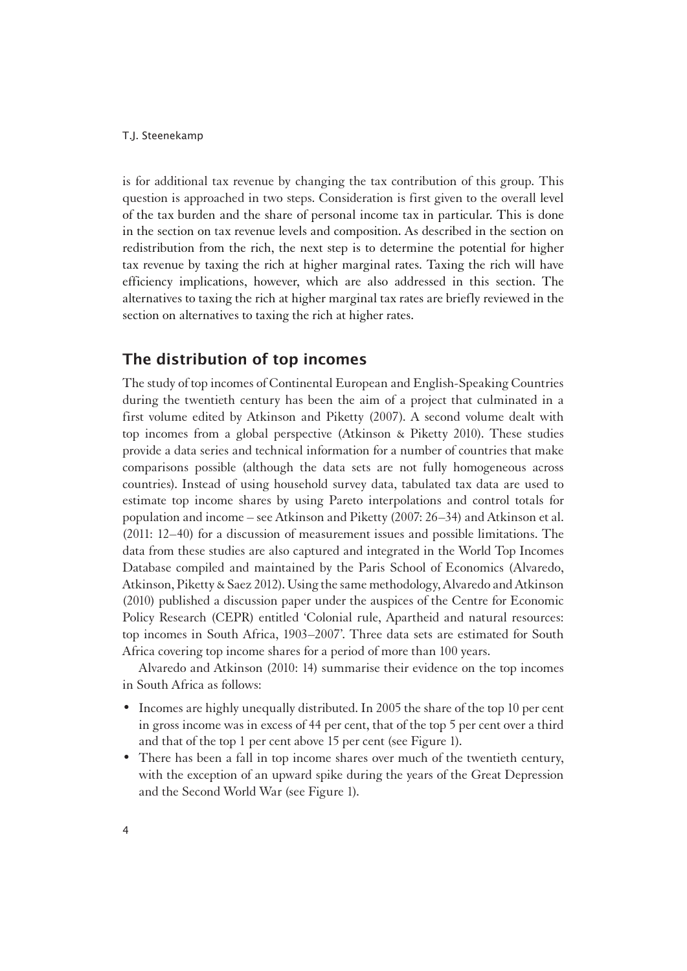is for additional tax revenue by changing the tax contribution of this group. This question is approached in two steps. Consideration is first given to the overall level of the tax burden and the share of personal income tax in particular. This is done in the section on tax revenue levels and composition. As described in the section on redistribution from the rich, the next step is to determine the potential for higher tax revenue by taxing the rich at higher marginal rates. Taxing the rich will have efficiency implications, however, which are also addressed in this section. The alternatives to taxing the rich at higher marginal tax rates are briefly reviewed in the section on alternatives to taxing the rich at higher rates.

## The distribution of top incomes

1The study of top incomes of Continental European and English-Speaking Countries during the twentieth century has been the aim of a project that culminated in a first volume edited by Atkinson and Piketty (2007). A second volume dealt with top incomes from a global perspective (Atkinson & Piketty 2010). These studies provide a data series and technical information for a number of countries that make comparisons possible (although the data sets are not fully homogeneous across countries). Instead of using household survey data, tabulated tax data are used to estimate top income shares by using Pareto interpolations and control totals for population and income – see Atkinson and Piketty (2007: 26–34) and Atkinson et al. (2011: 12–40) for a discussion of measurement issues and possible limitations. The data from these studies are also captured and integrated in the World Top Incomes Database compiled and maintained by the Paris School of Economics (Alvaredo, Atkinson, Piketty & Saez 2012). Using the same methodology, Alvaredo and Atkinson (2010) published a discussion paper under the auspices of the Centre for Economic Policy Research (CEPR) entitled 'Colonial rule, Apartheid and natural resources: top incomes in South Africa, 1903–2007'. Three data sets are estimated for South Africa covering top income shares for a period of more than 100 years.

Alvaredo and Atkinson (2010: 14) summarise their evidence on the top incomes in South Africa as follows:

- Incomes are highly unequally distributed. In 2005 the share of the top 10 per cent in gross income was in excess of 44 per cent, that of the top 5 per cent over a third and that of the top 1 per cent above 15 per cent (see Figure 1).
- There has been a fall in top income shares over much of the twentieth century, with the exception of an upward spike during the years of the Great Depression and the Second World War (see Figure 1).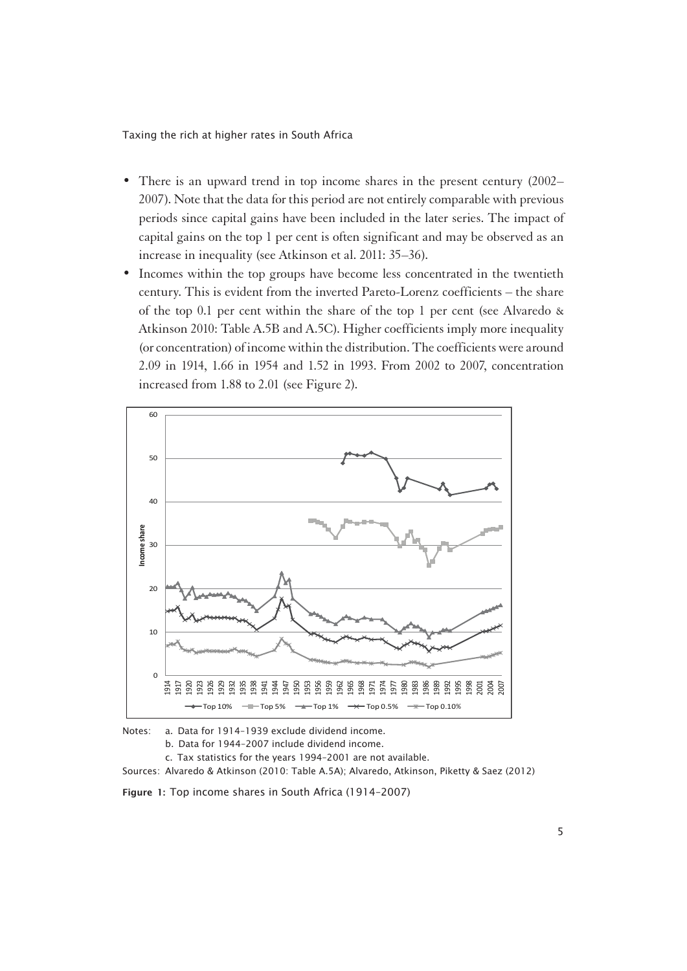- There is an upward trend in top income shares in the present century (2002– 2007). Note that the data for this period are not entirely comparable with previous periods since capital gains have been included in the later series. The impact of capital gains on the top 1 per cent is often significant and may be observed as an increase in inequality (see Atkinson et al. 2011: 35–36).
- Incomes within the top groups have become less concentrated in the twentieth century. This is evident from the inverted Pareto-Lorenz coefficients – the share of the top 0.1 per cent within the share of the top 1 per cent (see Alvaredo & Atkinson 2010: Table A.5B and A.5C). Higher coefficients imply more inequality (or concentration) of income within the distribution. The coefficients were around 2.09 in 1914, 1.66 in 1954 and 1.52 in 1993. From 2002 to 2007, concentration increased from 1.88 to 2.01 (see Figure 2).



Notes: a. Data for 1914–1939 exclude dividend income.

b. Data for 1944–2007 include dividend income.

c. Tax statistics for the years 1994–2001 are not available.

Sources: Alvaredo & Atkinson (2010: Table A.5A); Alvaredo, Atkinson, Piketty & Saez (2012)

Figure 1: Top income shares in South Africa (1914–2007)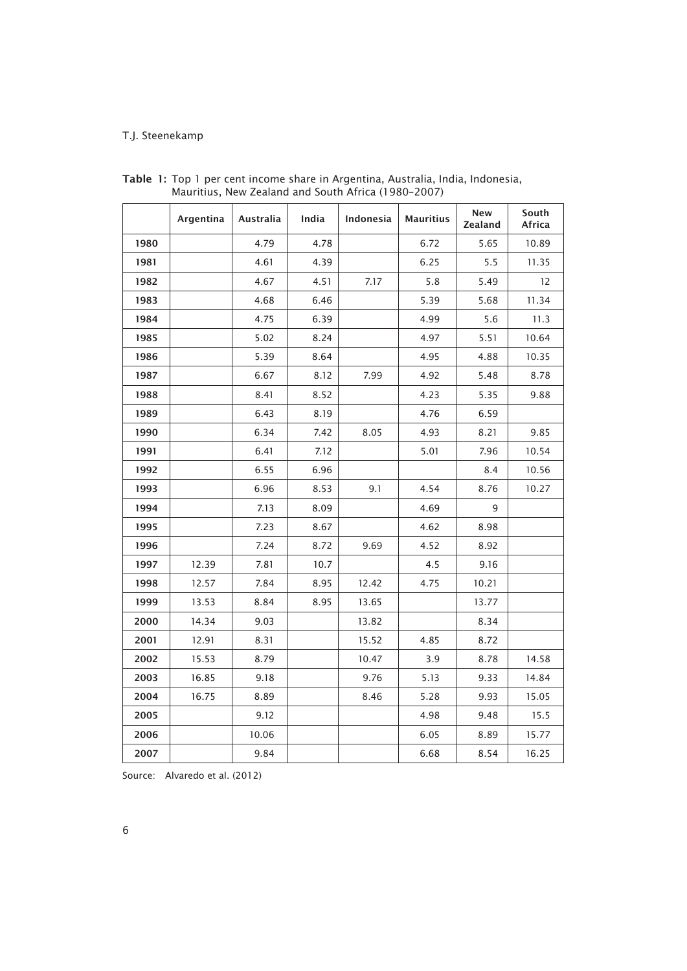|      | Argentina | Australia | India | Indonesia | <b>Mauritius</b> | New<br>Zealand | South<br>Africa |
|------|-----------|-----------|-------|-----------|------------------|----------------|-----------------|
| 1980 |           | 4.79      | 4.78  |           | 6.72             | 5.65           | 10.89           |
| 1981 |           | 4.61      | 4.39  |           | 6.25             | 5.5            | 11.35           |
| 1982 |           | 4.67      | 4.51  | 7.17      | 5.8              | 5.49           | 12              |
| 1983 |           | 4.68      | 6.46  |           | 5.39             | 5.68           | 11.34           |
| 1984 |           | 4.75      | 6.39  |           | 4.99             | 5.6            | 11.3            |
| 1985 |           | 5.02      | 8.24  |           | 4.97             | 5.51           | 10.64           |
| 1986 |           | 5.39      | 8.64  |           | 4.95             | 4.88           | 10.35           |
| 1987 |           | 6.67      | 8.12  | 7.99      | 4.92             | 5.48           | 8.78            |
| 1988 |           | 8.41      | 8.52  |           | 4.23             | 5.35           | 9.88            |
| 1989 |           | 6.43      | 8.19  |           | 4.76             | 6.59           |                 |
| 1990 |           | 6.34      | 7.42  | 8.05      | 4.93             | 8.21           | 9.85            |
| 1991 |           | 6.41      | 7.12  |           | 5.01             | 7.96           | 10.54           |
| 1992 |           | 6.55      | 6.96  |           |                  | 8.4            | 10.56           |
| 1993 |           | 6.96      | 8.53  | 9.1       | 4.54             | 8.76           | 10.27           |
| 1994 |           | 7.13      | 8.09  |           | 4.69             | 9              |                 |
| 1995 |           | 7.23      | 8.67  |           | 4.62             | 8.98           |                 |
| 1996 |           | 7.24      | 8.72  | 9.69      | 4.52             | 8.92           |                 |
| 1997 | 12.39     | 7.81      | 10.7  |           | 4.5              | 9.16           |                 |
| 1998 | 12.57     | 7.84      | 8.95  | 12.42     | 4.75             | 10.21          |                 |
| 1999 | 13.53     | 8.84      | 8.95  | 13.65     |                  | 13.77          |                 |
| 2000 | 14.34     | 9.03      |       | 13.82     |                  | 8.34           |                 |
| 2001 | 12.91     | 8.31      |       | 15.52     | 4.85             | 8.72           |                 |
| 2002 | 15.53     | 8.79      |       | 10.47     | 3.9              | 8.78           | 14.58           |
| 2003 | 16.85     | 9.18      |       | 9.76      | 5.13             | 9.33           | 14.84           |
| 2004 | 16.75     | 8.89      |       | 8.46      | 5.28             | 9.93           | 15.05           |
| 2005 |           | 9.12      |       |           | 4.98             | 9.48           | 15.5            |
| 2006 |           | 10.06     |       |           | 6.05             | 8.89           | 15.77           |
| 2007 |           | 9.84      |       |           | 6.68             | 8.54           | 16.25           |

Table 1: Top 1 per cent income share in Argentina, Australia, India, Indonesia, Mauritius, New Zealand and South Africa (1980–2007)

Source: Alvaredo et al. (2012)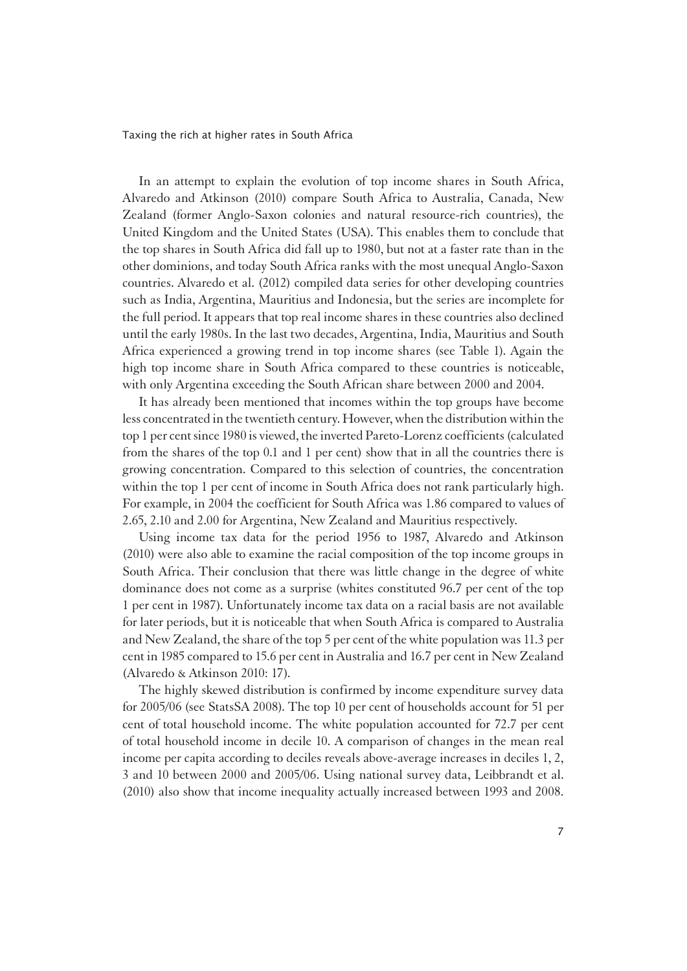In an attempt to explain the evolution of top income shares in South Africa, Alvaredo and Atkinson (2010) compare South Africa to Australia, Canada, New Zealand (former Anglo-Saxon colonies and natural resource-rich countries), the United Kingdom and the United States (USA). This enables them to conclude that the top shares in South Africa did fall up to 1980, but not at a faster rate than in the other dominions, and today South Africa ranks with the most unequal Anglo-Saxon countries. Alvaredo et al. (2012) compiled data series for other developing countries such as India, Argentina, Mauritius and Indonesia, but the series are incomplete for the full period. It appears that top real income shares in these countries also declined until the early 1980s. In the last two decades, Argentina, India, Mauritius and South Africa experienced a growing trend in top income shares (see Table 1). Again the high top income share in South Africa compared to these countries is noticeable, with only Argentina exceeding the South African share between 2000 and 2004.

It has already been mentioned that incomes within the top groups have become less concentrated in the twentieth century. However, when the distribution within the top 1 per cent since 1980 is viewed, the inverted Pareto-Lorenz coefficients (calculated from the shares of the top 0.1 and 1 per cent) show that in all the countries there is growing concentration. Compared to this selection of countries, the concentration within the top 1 per cent of income in South Africa does not rank particularly high. For example, in 2004 the coefficient for South Africa was 1.86 compared to values of 2.65, 2.10 and 2.00 for Argentina, New Zealand and Mauritius respectively.

 Using income tax data for the period 1956 to 1987, Alvaredo and Atkinson (2010) were also able to examine the racial composition of the top income groups in South Africa. Their conclusion that there was little change in the degree of white dominance does not come as a surprise (whites constituted 96.7 per cent of the top 1 per cent in 1987). Unfortunately income tax data on a racial basis are not available for later periods, but it is noticeable that when South Africa is compared to Australia and New Zealand, the share of the top 5 per cent of the white population was 11.3 per cent in 1985 compared to 15.6 per cent in Australia and 16.7 per cent in New Zealand (Alvaredo & Atkinson 2010: 17).

The highly skewed distribution is confirmed by income expenditure survey data for 2005/06 (see StatsSA 2008). The top 10 per cent of households account for 51 per cent of total household income. The white population accounted for 72.7 per cent of total household income in decile 10. A comparison of changes in the mean real income per capita according to deciles reveals above-average increases in deciles 1, 2, 3 and 10 between 2000 and 2005/06. Using national survey data, Leibbrandt et al. (2010) also show that income inequality actually increased between 1993 and 2008.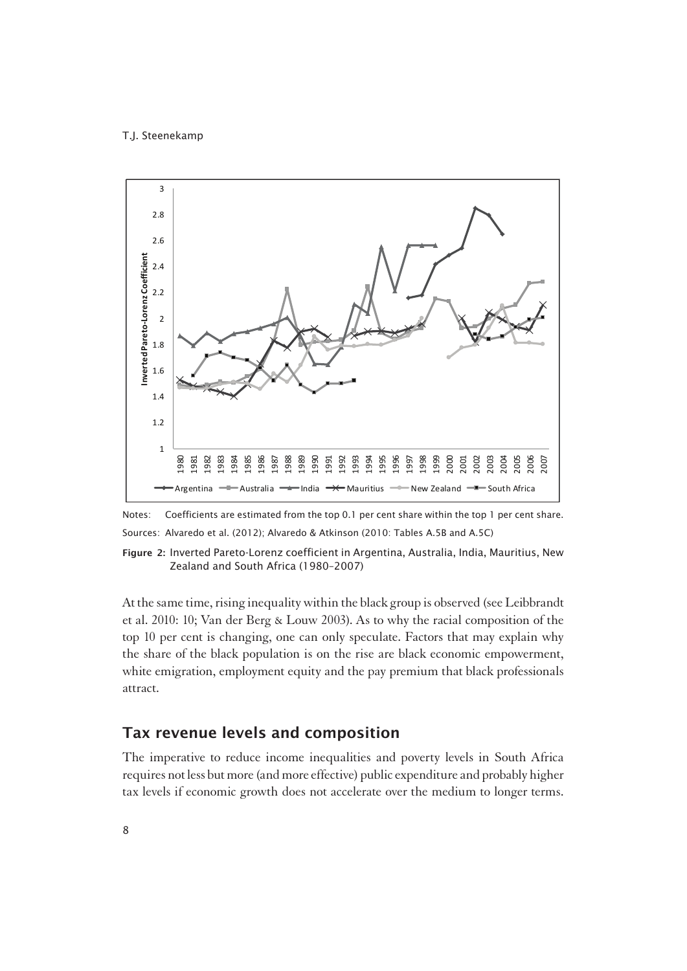

Notes: Coefficients are estimated from the top 0.1 per cent share within the top 1 per cent share. Sources: Alvaredo et al. (2012); Alvaredo & Atkinson (2010: Tables A.5B and A.5C)

Figure 2: Inverted Pareto-Lorenz coefficient in Argentina, Australia, India, Mauritius, New Zealand and South Africa (1980–2007)

At the same time, rising inequality within the black group is observed (see Leibbrandt et al. 2010: 10; Van der Berg & Louw 2003). As to why the racial composition of the top 10 per cent is changing, one can only speculate. Factors that may explain why the share of the black population is on the rise are black economic empowerment, white emigration, employment equity and the pay premium that black professionals attract.

## Tax revenue levels and composition

1The imperative to reduce income inequalities and poverty levels in South Africa requires not less but more (and more effective) public expenditure and probably higher tax levels if economic growth does not accelerate over the medium to longer terms.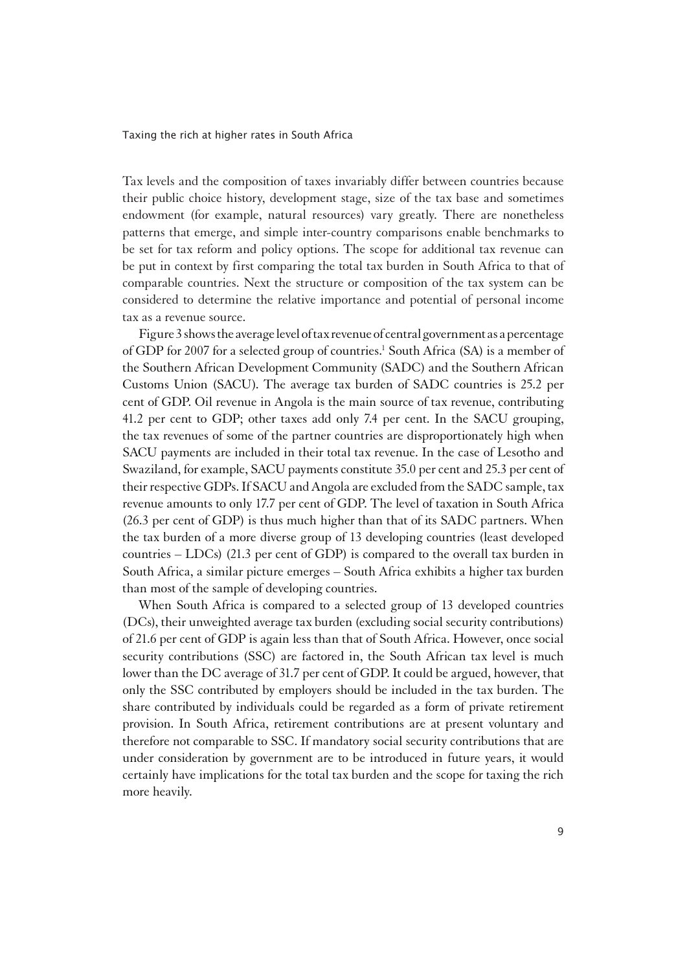Tax levels and the composition of taxes invariably differ between countries because their public choice history, development stage, size of the tax base and sometimes endowment (for example, natural resources) vary greatly. There are nonetheless patterns that emerge, and simple inter-country comparisons enable benchmarks to be set for tax reform and policy options. The scope for additional tax revenue can be put in context by first comparing the total tax burden in South Africa to that of comparable countries. Next the structure or composition of the tax system can be considered to determine the relative importance and potential of personal income tax as a revenue source.

Figure 3 shows the average level of tax revenue of central government as a percentage of GDP for 2007 for a selected group of countries.<sup>1</sup> South Africa (SA) is a member of the Southern African Development Community (SADC) and the Southern African Customs Union (SACU). The average tax burden of SADC countries is 25.2 per cent of GDP. Oil revenue in Angola is the main source of tax revenue, contributing 41.2 per cent to GDP; other taxes add only 7.4 per cent. In the SACU grouping, the tax revenues of some of the partner countries are disproportionately high when SACU payments are included in their total tax revenue. In the case of Lesotho and Swaziland, for example, SACU payments constitute 35.0 per cent and 25.3 per cent of their respective GDPs. If SACU and Angola are excluded from the SADC sample, tax revenue amounts to only 17.7 per cent of GDP. The level of taxation in South Africa (26.3 per cent of GDP) is thus much higher than that of its SADC partners. When the tax burden of a more diverse group of 13 developing countries (least developed countries – LDCs) (21.3 per cent of GDP) is compared to the overall tax burden in South Africa, a similar picture emerges – South Africa exhibits a higher tax burden than most of the sample of developing countries.

When South Africa is compared to a selected group of 13 developed countries (DCs), their unweighted average tax burden (excluding social security contributions) of 21.6 per cent of GDP is again less than that of South Africa. However, once social security contributions (SSC) are factored in, the South African tax level is much lower than the DC average of 31.7 per cent of GDP. It could be argued, however, that only the SSC contributed by employers should be included in the tax burden. The share contributed by individuals could be regarded as a form of private retirement provision. In South Africa, retirement contributions are at present voluntary and therefore not comparable to SSC. If mandatory social security contributions that are under consideration by government are to be introduced in future years, it would certainly have implications for the total tax burden and the scope for taxing the rich more heavily.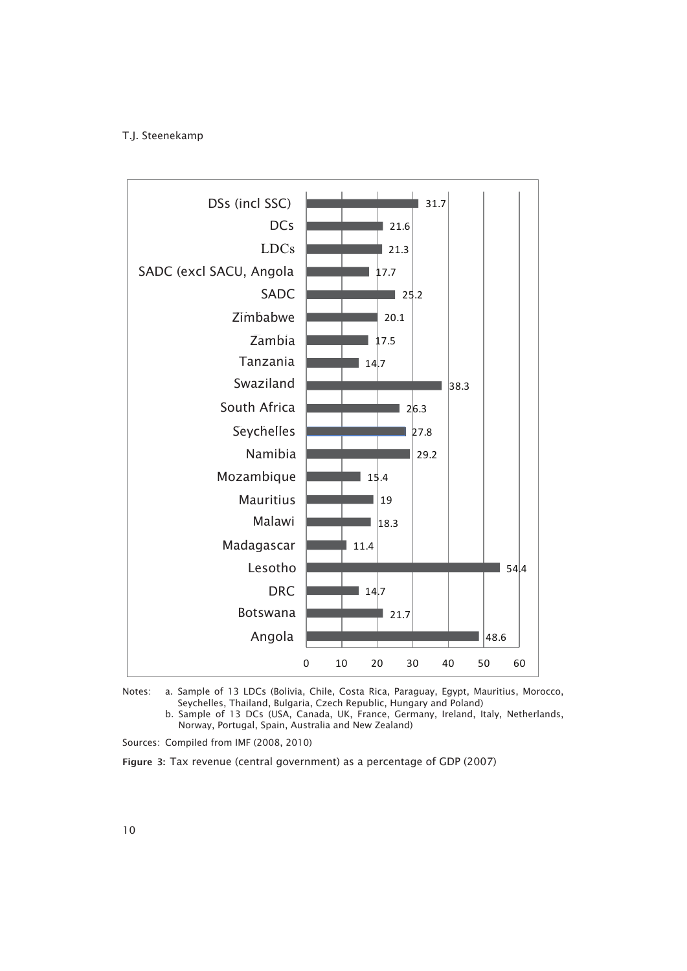

Notes: a. Sample of 13 LDCs (Bolivia, Chile, Costa Rica, Paraguay, Egypt, Mauritius, Morocco, Seychelles, Thailand, Bulgaria, Czech Republic, Hungary and Poland)

 b. Sample of 13 DCs (USA, Canada, UK, France, Germany, Ireland, Italy, Netherlands, Norway, Portugal, Spain, Australia and New Zealand)

Sources: Compiled from IMF (2008, 2010)

Figure 3: Tax revenue (central government) as a percentage of GDP (2007)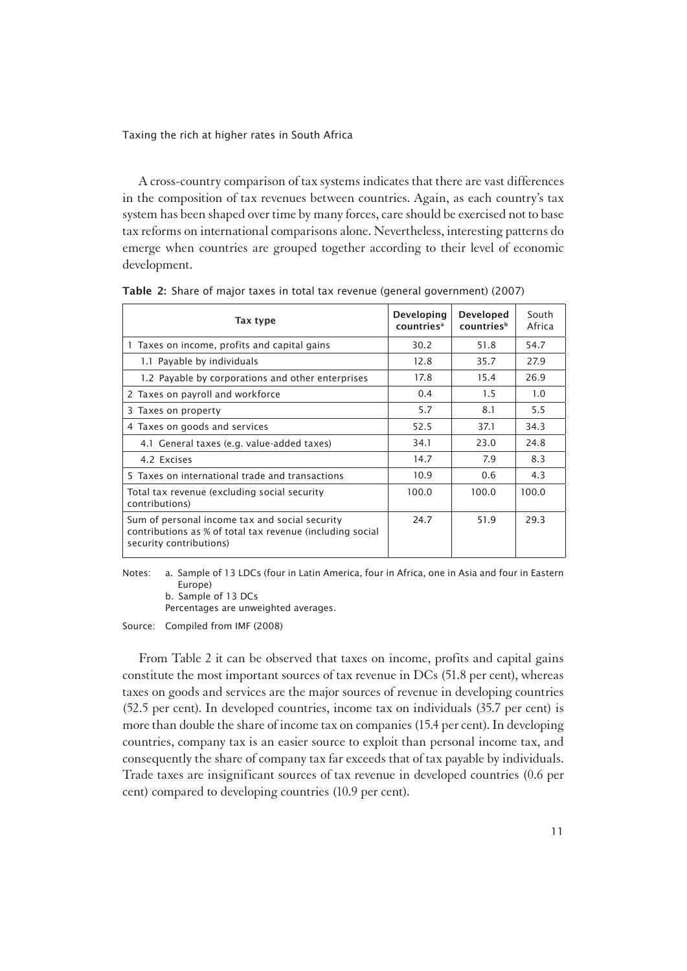A cross-country comparison of tax systems indicates that there are vast differences in the composition of tax revenues between countries. Again, as each country's tax system has been shaped over time by many forces, care should be exercised not to base tax reforms on international comparisons alone. Nevertheless, interesting patterns do emerge when countries are grouped together according to their level of economic development.

| Tax type                                                                                                                               | Developing<br>countries <sup>a</sup> | <b>Developed</b><br>countriesb | South<br>Africa |
|----------------------------------------------------------------------------------------------------------------------------------------|--------------------------------------|--------------------------------|-----------------|
| 1 Taxes on income, profits and capital gains                                                                                           | 30.2                                 | 51.8                           | 54.7            |
| 1.1 Payable by individuals                                                                                                             | 12.8                                 | 35.7                           | 27.9            |
| 1.2 Payable by corporations and other enterprises                                                                                      | 17.8                                 | 15.4                           | 26.9            |
| 2 Taxes on payroll and workforce                                                                                                       | 0.4                                  | 1.5                            | 1.0             |
| 3 Taxes on property                                                                                                                    | 5.7                                  | 8.1                            | 5.5             |
| 4 Taxes on goods and services                                                                                                          | 52.5                                 | 37.1                           | 34.3            |
| 4.1 General taxes (e.g. value-added taxes)                                                                                             | 34.1                                 | 23.0                           | 24.8            |
| 4.2 Excises                                                                                                                            | 14.7                                 | 7.9                            | 8.3             |
| 5 Taxes on international trade and transactions                                                                                        | 10.9                                 | 0.6                            | 4.3             |
| Total tax revenue (excluding social security<br>contributions)                                                                         | 100.0                                | 100.0                          | 100.0           |
| Sum of personal income tax and social security<br>contributions as % of total tax revenue (including social<br>security contributions) | 24.7                                 | 51.9                           | 29.3            |

Table 2: Share of major taxes in total tax revenue (general government) (2007)

Notes: a. Sample of 13 LDCs (four in Latin America, four in Africa, one in Asia and four in Eastern Europe)

b. Sample of 13 DCs

Percentages are unweighted averages.

Source: Compiled from IMF (2008)

From Table 2 it can be observed that taxes on income, profits and capital gains constitute the most important sources of tax revenue in DCs (51.8 per cent), whereas taxes on goods and services are the major sources of revenue in developing countries (52.5 per cent). In developed countries, income tax on individuals (35.7 per cent) is more than double the share of income tax on companies (15.4 per cent). In developing countries, company tax is an easier source to exploit than personal income tax, and consequently the share of company tax far exceeds that of tax payable by individuals. Trade taxes are insignificant sources of tax revenue in developed countries (0.6 per cent) compared to developing countries (10.9 per cent).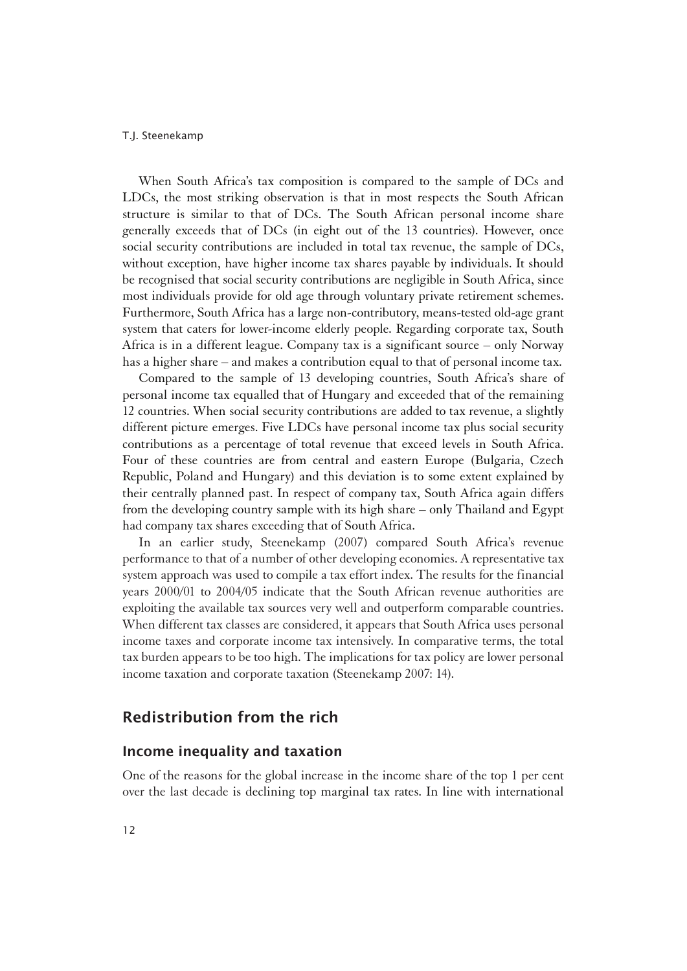When South Africa's tax composition is compared to the sample of DCs and LDCs, the most striking observation is that in most respects the South African structure is similar to that of DCs. The South African personal income share generally exceeds that of DCs (in eight out of the 13 countries). However, once social security contributions are included in total tax revenue, the sample of DCs, without exception, have higher income tax shares payable by individuals. It should be recognised that social security contributions are negligible in South Africa, since most individuals provide for old age through voluntary private retirement schemes. Furthermore, South Africa has a large non-contributory, means-tested old-age grant system that caters for lower-income elderly people. Regarding corporate tax, South Africa is in a different league. Company tax is a significant source – only Norway has a higher share – and makes a contribution equal to that of personal income tax.

Compared to the sample of 13 developing countries, South Africa's share of personal income tax equalled that of Hungary and exceeded that of the remaining 12 countries. When social security contributions are added to tax revenue, a slightly different picture emerges. Five LDCs have personal income tax plus social security contributions as a percentage of total revenue that exceed levels in South Africa. Four of these countries are from central and eastern Europe (Bulgaria, Czech Republic, Poland and Hungary) and this deviation is to some extent explained by their centrally planned past. In respect of company tax, South Africa again differs from the developing country sample with its high share – only Thailand and Egypt had company tax shares exceeding that of South Africa.

In an earlier study, Steenekamp (2007) compared South Africa's revenue performance to that of a number of other developing economies. A representative tax system approach was used to compile a tax effort index. The results for the financial years 2000/01 to 2004/05 indicate that the South African revenue authorities are exploiting the available tax sources very well and outperform comparable countries. When different tax classes are considered, it appears that South Africa uses personal income taxes and corporate income tax intensively. In comparative terms, the total tax burden appears to be too high. The implications for tax policy are lower personal income taxation and corporate taxation (Steenekamp 2007: 14).

## Redistribution from the rich

### Income inequality and taxation

1One of the reasons for the global increase in the income share of the top 1 per cent over the last decade is declining top marginal tax rates. In line with international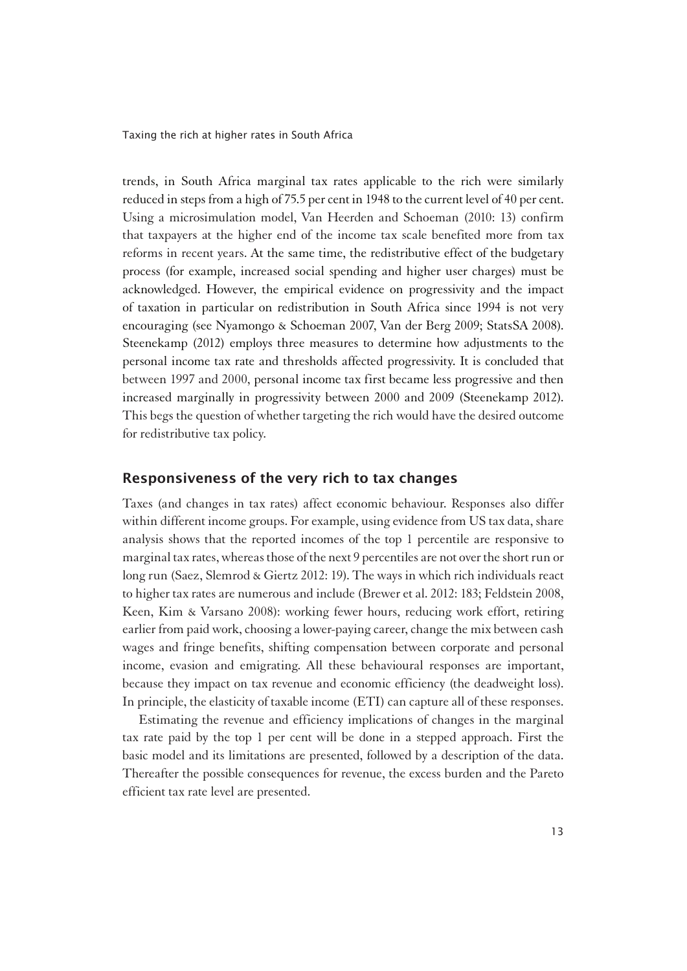trends, in South Africa marginal tax rates applicable to the rich were similarly reduced in steps from a high of 75.5 per cent in 1948 to the current level of 40 per cent. Using a microsimulation model, Van Heerden and Schoeman (2010: 13) confirm that taxpayers at the higher end of the income tax scale benefited more from tax reforms in recent years. At the same time, the redistributive effect of the budgetary process (for example, increased social spending and higher user charges) must be acknowledged. However, the empirical evidence on progressivity and the impact of taxation in particular on redistribution in South Africa since 1994 is not very encouraging (see Nyamongo & Schoeman 2007, Van der Berg 2009; StatsSA 2008). Steenekamp (2012) employs three measures to determine how adjustments to the personal income tax rate and thresholds affected progressivity. It is concluded that between 1997 and 2000, personal income tax first became less progressive and then increased marginally in progressivity between 2000 and 2009 (Steenekamp 2012). This begs the question of whether targeting the rich would have the desired outcome for redistributive tax policy.

### Responsiveness of the very rich to tax changes

1Taxes (and changes in tax rates) affect economic behaviour. Responses also differ within different income groups. For example, using evidence from US tax data, share analysis shows that the reported incomes of the top 1 percentile are responsive to marginal tax rates, whereas those of the next 9 percentiles are not over the short run or long run (Saez, Slemrod & Giertz 2012: 19). The ways in which rich individuals react to higher tax rates are numerous and include (Brewer et al. 2012: 183; Feldstein 2008, Keen, Kim & Varsano 2008): working fewer hours, reducing work effort, retiring earlier from paid work, choosing a lower-paying career, change the mix between cash wages and fringe benefits, shifting compensation between corporate and personal income, evasion and emigrating. All these behavioural responses are important, because they impact on tax revenue and economic efficiency (the deadweight loss). In principle, the elasticity of taxable income (ETI) can capture all of these responses.

Estimating the revenue and efficiency implications of changes in the marginal tax rate paid by the top 1 per cent will be done in a stepped approach. First the basic model and its limitations are presented, followed by a description of the data. Thereafter the possible consequences for revenue, the excess burden and the Pareto efficient tax rate level are presented.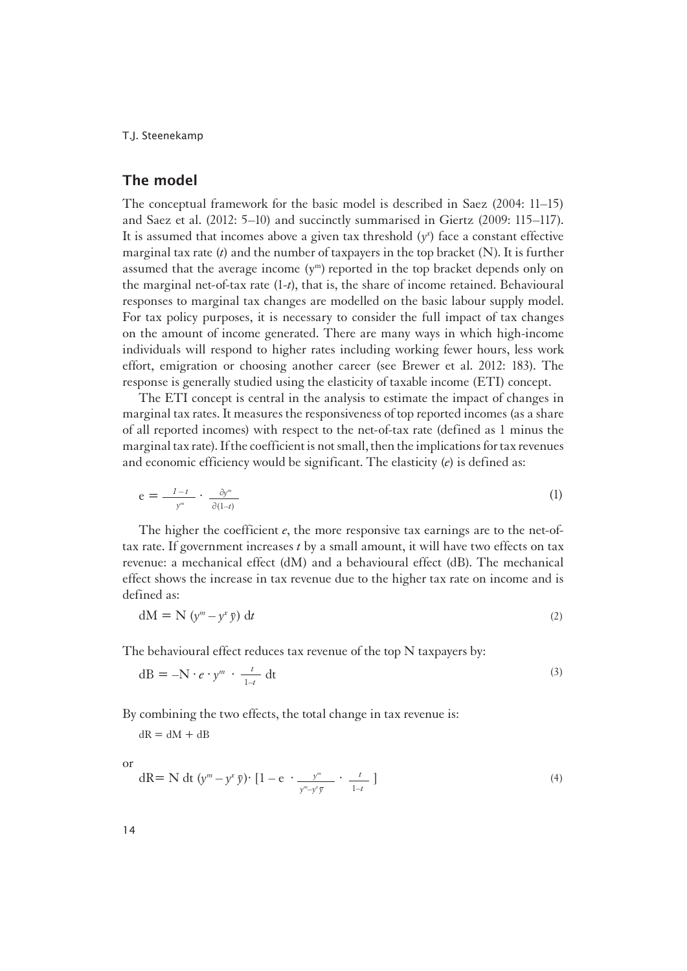### The model

1The conceptual framework for the basic model is described in Saez (2004: 11–15) and Saez et al. (2012: 5–10) and succinctly summarised in Giertz (2009: 115–117). It is assumed that incomes above a given tax threshold  $(y<sup>x</sup>)$  face a constant effective marginal tax rate (*t*) and the number of taxpayers in the top bracket (N). It is further assumed that the average income  $(y<sup>m</sup>)$  reported in the top bracket depends only on the marginal net-of-tax rate (1-*t*), that is, the share of income retained. Behavioural responses to marginal tax changes are modelled on the basic labour supply model. For tax policy purposes, it is necessary to consider the full impact of tax changes on the amount of income generated. There are many ways in which high-income individuals will respond to higher rates including working fewer hours, less work effort, emigration or choosing another career (see Brewer et al. 2012: 183). The response is generally studied using the elasticity of taxable income (ETI) concept.

The ETI concept is central in the analysis to estimate the impact of changes in marginal tax rates. It measures the responsiveness of top reported incomes (as a share of all reported incomes) with respect to the net-of-tax rate (defined as 1 minus the marginal tax rate). If the coefficient is not small, then the implications for tax revenues and economic efficiency would be significant. The elasticity (*e*) is defined as:

$$
e = \frac{1 - t}{y^m} \cdot \frac{\partial y^m}{\partial (1 - t)}
$$
 (1)

The higher the coefficient *e*, the more responsive tax earnings are to the net-oftax rate. If government increases *t* by a small amount, it will have two effects on tax revenue: a mechanical effect (dM) and a behavioural effect (dB). The mechanical effect shows the increase in tax revenue due to the higher tax rate on income and is defined as:

$$
dM = N \left( y^m - y^x \bar{y} \right) dt \tag{2}
$$

The behavioural effect reduces tax revenue of the top N taxpayers by:

$$
dB = -N \cdot e \cdot y^m \cdot \frac{t}{1-t} dt
$$
 (3)

By combining the two effects, the total change in tax revenue is:

 $dR = dM + dB$ 

1or

$$
dR = N dt (ym - yx \bar{y}) \cdot [1 - e \cdot \frac{ym}{ym - yx \bar{y}} \cdot \frac{t}{1 - t}]
$$
\n(4)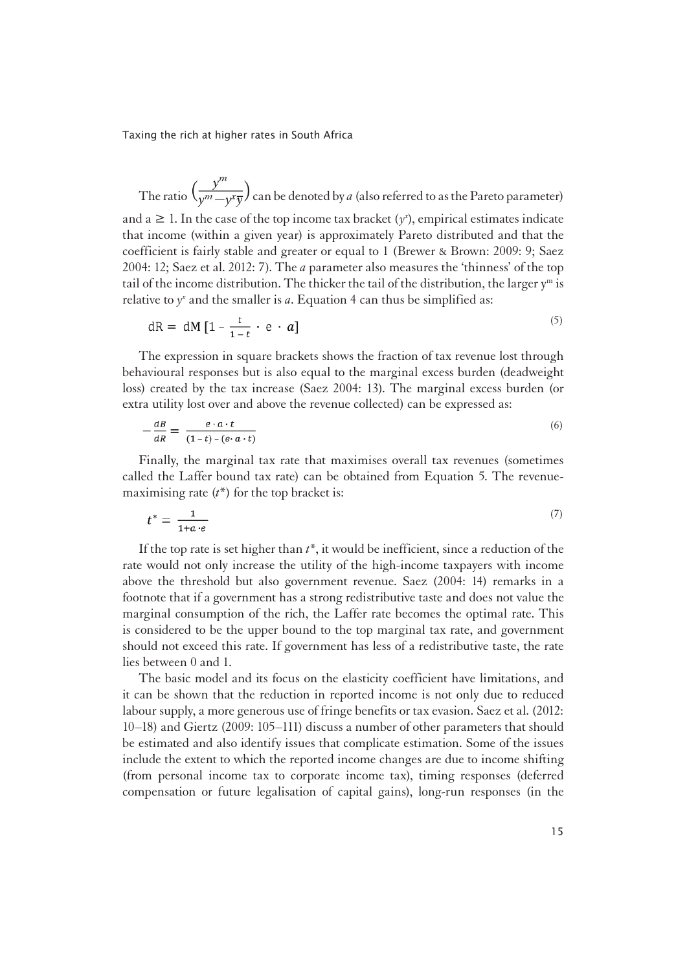The ratio  $\left(\frac{y^m}{y^m - y^x \overline{y}}\right)$  can be denoted by *a* (also referred to as the Pareto parameter)

and a  $\geq 1$ . In the case of the top income tax bracket ( $y^x$ ), empirical estimates indicate that income (within a given year) is approximately Pareto distributed and that the coefficient is fairly stable and greater or equal to 1 (Brewer & Brown: 2009: 9; Saez 2004: 12; Saez et al. 2012: 7). The *a* parameter also measures the 'thinness' of the top tail of the income distribution. The thicker the tail of the distribution, the larger  $y<sup>m</sup>$  is relative to  $y^x$  and the smaller is  $a$ . Equation 4 can thus be simplified as:

$$
dR = dM \left[ 1 - \frac{t}{1-t} \cdot e \cdot a \right]
$$
 (5)

The expression in square brackets shows the fraction of tax revenue lost through behavioural responses but is also equal to the marginal excess burden (deadweight loss) created by the tax increase (Saez 2004: 13). The marginal excess burden (or extra utility lost over and above the revenue collected) can be expressed as:

$$
-\frac{dB}{dR} = \frac{e \cdot a \cdot t}{(1-t) - (e \cdot a \cdot t)}\tag{6}
$$

Finally, the marginal tax rate that maximises overall tax revenues (sometimes called the Laffer bound tax rate) can be obtained from Equation 5. The revenuemaximising rate (*t*\*) for the top bracket is:

$$
t^* = \frac{1}{1+a \cdot e} \tag{7}
$$

If the top rate is set higher than *t*\*, it would be inefficient, since a reduction of the rate would not only increase the utility of the high-income taxpayers with income above the threshold but also government revenue. Saez (2004: 14) remarks in a footnote that if a government has a strong redistributive taste and does not value the marginal consumption of the rich, the Laffer rate becomes the optimal rate. This is considered to be the upper bound to the top marginal tax rate, and government should not exceed this rate. If government has less of a redistributive taste, the rate lies between 0 and 1.

The basic model and its focus on the elasticity coefficient have limitations, and it can be shown that the reduction in reported income is not only due to reduced labour supply, a more generous use of fringe benefits or tax evasion. Saez et al. (2012: 10–18) and Giertz (2009: 105–111) discuss a number of other parameters that should be estimated and also identify issues that complicate estimation. Some of the issues include the extent to which the reported income changes are due to income shifting (from personal income tax to corporate income tax), timing responses (deferred compensation or future legalisation of capital gains), long-run responses (in the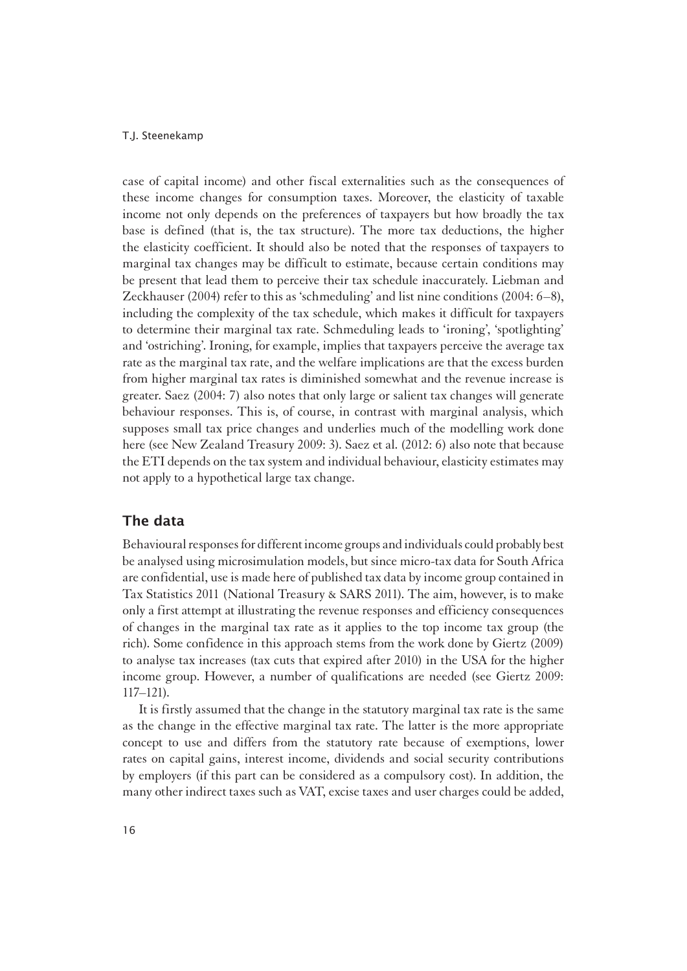case of capital income) and other fiscal externalities such as the consequences of these income changes for consumption taxes. Moreover, the elasticity of taxable income not only depends on the preferences of taxpayers but how broadly the tax base is defined (that is, the tax structure). The more tax deductions, the higher the elasticity coefficient. It should also be noted that the responses of taxpayers to marginal tax changes may be difficult to estimate, because certain conditions may be present that lead them to perceive their tax schedule inaccurately. Liebman and Zeckhauser (2004) refer to this as 'schmeduling' and list nine conditions (2004: 6–8), including the complexity of the tax schedule, which makes it difficult for taxpayers to determine their marginal tax rate. Schmeduling leads to 'ironing', 'spotlighting' and 'ostriching'. Ironing, for example, implies that taxpayers perceive the average tax rate as the marginal tax rate, and the welfare implications are that the excess burden from higher marginal tax rates is diminished somewhat and the revenue increase is greater. Saez (2004: 7) also notes that only large or salient tax changes will generate behaviour responses. This is, of course, in contrast with marginal analysis, which supposes small tax price changes and underlies much of the modelling work done here (see New Zealand Treasury 2009: 3). Saez et al. (2012: 6) also note that because the ETI depends on the tax system and individual behaviour, elasticity estimates may not apply to a hypothetical large tax change.

### The data

1Behavioural responses for different income groups and individuals could probably best be analysed using microsimulation models, but since micro-tax data for South Africa are confidential, use is made here of published tax data by income group contained in Tax Statistics 2011 (National Treasury & SARS 2011). The aim, however, is to make only a first attempt at illustrating the revenue responses and efficiency consequences of changes in the marginal tax rate as it applies to the top income tax group (the rich). Some confidence in this approach stems from the work done by Giertz (2009) to analyse tax increases (tax cuts that expired after 2010) in the USA for the higher income group. However, a number of qualifications are needed (see Giertz 2009: 117–121).

It is firstly assumed that the change in the statutory marginal tax rate is the same as the change in the effective marginal tax rate. The latter is the more appropriate concept to use and differs from the statutory rate because of exemptions, lower rates on capital gains, interest income, dividends and social security contributions by employers (if this part can be considered as a compulsory cost). In addition, the many other indirect taxes such as VAT, excise taxes and user charges could be added,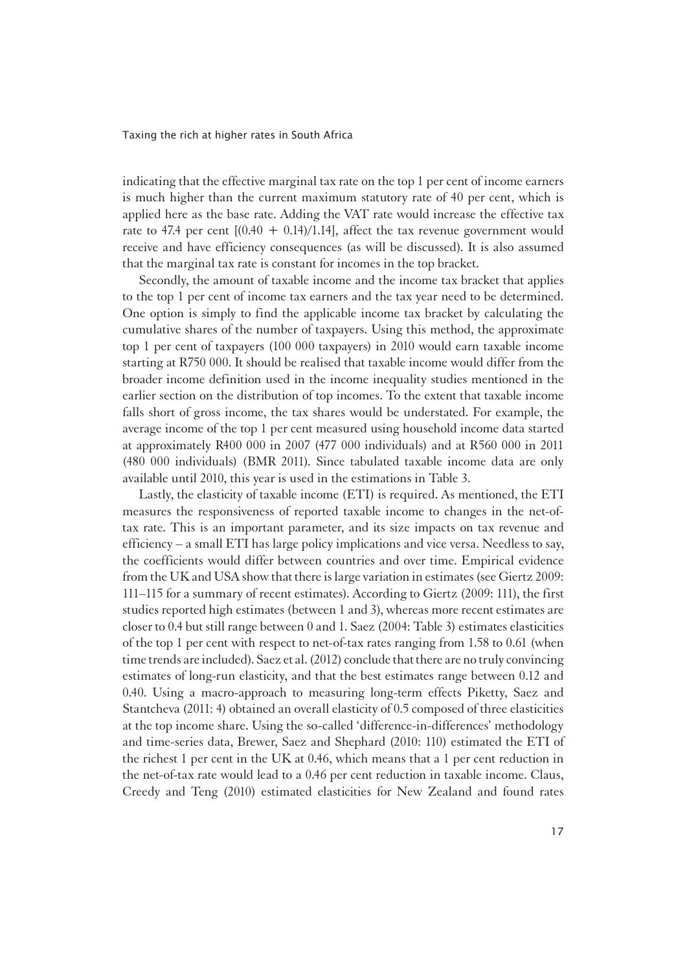indicating that the effective marginal tax rate on the top 1 per cent of income earners is much higher than the current maximum statutory rate of 40 per cent, which is applied here as the base rate. Adding the VAT rate would increase the effective tax rate to 47.4 per cent  $[(0.40 + 0.14)/1.14]$ , affect the tax revenue government would receive and have efficiency consequences (as will be discussed). It is also assumed that the marginal tax rate is constant for incomes in the top bracket.

Secondly, the amount of taxable income and the income tax bracket that applies to the top 1 per cent of income tax earners and the tax year need to be determined. One option is simply to find the applicable income tax bracket by calculating the cumulative shares of the number of taxpayers. Using this method, the approximate top 1 per cent of taxpayers (100 000 taxpayers) in 2010 would earn taxable income starting at R750 000. It should be realised that taxable income would differ from the broader income definition used in the income inequality studies mentioned in the earlier section on the distribution of top incomes. To the extent that taxable income falls short of gross income, the tax shares would be understated. For example, the average income of the top 1 per cent measured using household income data started at approximately R400 000 in 2007 (477 000 individuals) and at R560 000 in 2011 (480 000 individuals) (BMR 2011). Since tabulated taxable income data are only available until 2010, this year is used in the estimations in Table 3.

Lastly, the elasticity of taxable income (ETI) is required. As mentioned, the ETI measures the responsiveness of reported taxable income to changes in the net-oftax rate. This is an important parameter, and its size impacts on tax revenue and efficiency – a small ETI has large policy implications and vice versa. Needless to say, the coefficients would differ between countries and over time. Empirical evidence from the UK and USA show that there is large variation in estimates (see Giertz 2009: 111–115 for a summary of recent estimates). According to Giertz (2009: 111), the first studies reported high estimates (between 1 and 3), whereas more recent estimates are closer to 0.4 but still range between 0 and 1. Saez (2004: Table 3) estimates elasticities of the top 1 per cent with respect to net-of-tax rates ranging from 1.58 to 0.61 (when time trends are included). Saez et al. (2012) conclude that there are no truly convincing estimates of long-run elasticity, and that the best estimates range between 0.12 and 0.40. Using a macro-approach to measuring long-term effects Piketty, Saez and Stantcheva (2011: 4) obtained an overall elasticity of 0.5 composed of three elasticities at the top income share. Using the so-called 'difference-in-differences' methodology and time-series data, Brewer, Saez and Shephard (2010: 110) estimated the ETI of the richest 1 per cent in the UK at 0.46, which means that a 1 per cent reduction in the net-of-tax rate would lead to a 0.46 per cent reduction in taxable income. Claus, Creedy and Teng (2010) estimated elasticities for New Zealand and found rates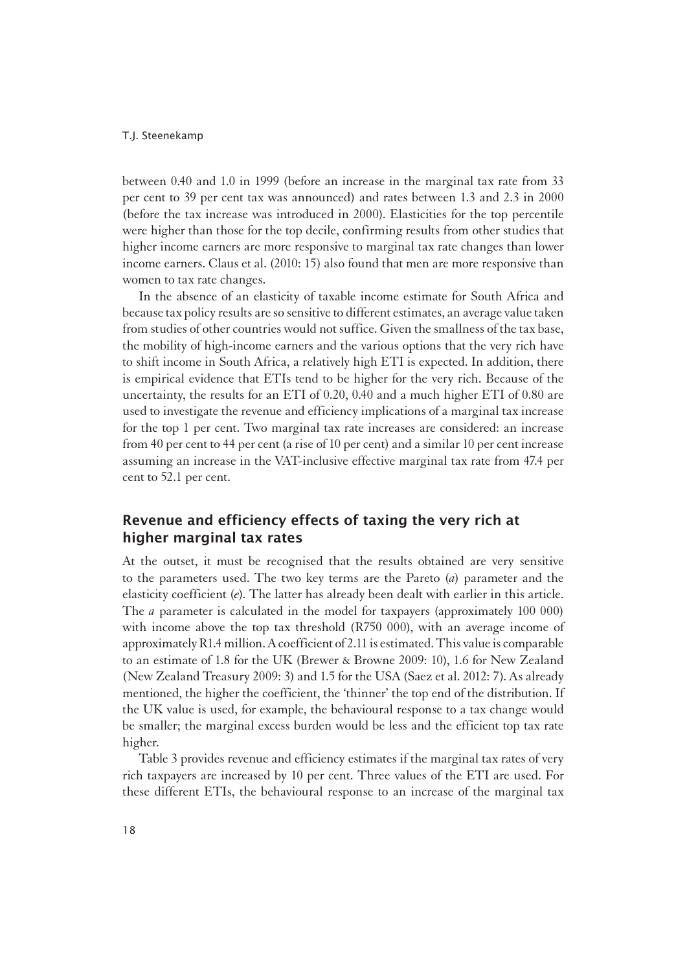between 0.40 and 1.0 in 1999 (before an increase in the marginal tax rate from 33 per cent to 39 per cent tax was announced) and rates between 1.3 and 2.3 in 2000 (before the tax increase was introduced in 2000). Elasticities for the top percentile were higher than those for the top decile, confirming results from other studies that higher income earners are more responsive to marginal tax rate changes than lower income earners. Claus et al. (2010: 15) also found that men are more responsive than women to tax rate changes.

In the absence of an elasticity of taxable income estimate for South Africa and because tax policy results are so sensitive to different estimates, an average value taken from studies of other countries would not suffice. Given the smallness of the tax base, the mobility of high-income earners and the various options that the very rich have to shift income in South Africa, a relatively high ETI is expected. In addition, there is empirical evidence that ETIs tend to be higher for the very rich. Because of the uncertainty, the results for an ETI of 0.20, 0.40 and a much higher ETI of 0.80 are used to investigate the revenue and efficiency implications of a marginal tax increase for the top 1 per cent. Two marginal tax rate increases are considered: an increase from 40 per cent to 44 per cent (a rise of 10 per cent) and a similar 10 per cent increase assuming an increase in the VAT-inclusive effective marginal tax rate from 47.4 per cent to 52.1 per cent.

## Revenue and efficiency effects of taxing the very rich at higher marginal tax rates

At the outset, it must be recognised that the results obtained are very sensitive to the parameters used. The two key terms are the Pareto (*a*) parameter and the elasticity coefficient (*e*). The latter has already been dealt with earlier in this article. The *a* parameter is calculated in the model for taxpayers (approximately 100 000) with income above the top tax threshold (R750 000), with an average income of approximately R1.4 million. A coefficient of 2.11 is estimated. This value is comparable to an estimate of 1.8 for the UK (Brewer & Browne 2009: 10), 1.6 for New Zealand (New Zealand Treasury 2009: 3) and 1.5 for the USA (Saez et al. 2012: 7). As already mentioned, the higher the coefficient, the 'thinner' the top end of the distribution. If the UK value is used, for example, the behavioural response to a tax change would be smaller; the marginal excess burden would be less and the efficient top tax rate higher.

Table 3 provides revenue and efficiency estimates if the marginal tax rates of very rich taxpayers are increased by 10 per cent. Three values of the ETI are used. For these different ETIs, the behavioural response to an increase of the marginal tax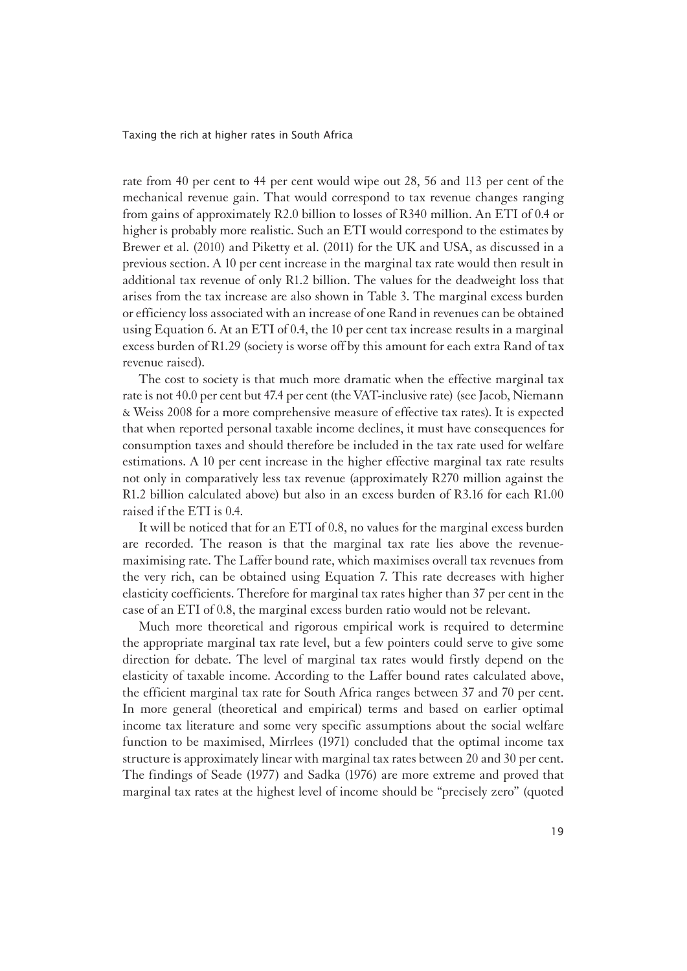rate from 40 per cent to 44 per cent would wipe out 28, 56 and 113 per cent of the mechanical revenue gain. That would correspond to tax revenue changes ranging from gains of approximately R2.0 billion to losses of R340 million. An ETI of 0.4 or higher is probably more realistic. Such an ETI would correspond to the estimates by Brewer et al. (2010) and Piketty et al. (2011) for the UK and USA, as discussed in a previous section. A 10 per cent increase in the marginal tax rate would then result in additional tax revenue of only R1.2 billion. The values for the deadweight loss that arises from the tax increase are also shown in Table 3. The marginal excess burden or efficiency loss associated with an increase of one Rand in revenues can be obtained using Equation 6. At an ETI of 0.4, the 10 per cent tax increase results in a marginal excess burden of R1.29 (society is worse off by this amount for each extra Rand of tax revenue raised).

The cost to society is that much more dramatic when the effective marginal tax rate is not 40.0 per cent but 47.4 per cent (the VAT-inclusive rate) (see Jacob, Niemann & Weiss 2008 for a more comprehensive measure of effective tax rates). It is expected that when reported personal taxable income declines, it must have consequences for consumption taxes and should therefore be included in the tax rate used for welfare estimations. A 10 per cent increase in the higher effective marginal tax rate results not only in comparatively less tax revenue (approximately R270 million against the R1.2 billion calculated above) but also in an excess burden of R3.16 for each R1.00 raised if the ETI is 0.4.

It will be noticed that for an ETI of 0.8, no values for the marginal excess burden are recorded. The reason is that the marginal tax rate lies above the revenuemaximising rate. The Laffer bound rate, which maximises overall tax revenues from the very rich, can be obtained using Equation 7. This rate decreases with higher elasticity coefficients. Therefore for marginal tax rates higher than 37 per cent in the case of an ETI of 0.8, the marginal excess burden ratio would not be relevant.

Much more theoretical and rigorous empirical work is required to determine the appropriate marginal tax rate level, but a few pointers could serve to give some direction for debate. The level of marginal tax rates would firstly depend on the elasticity of taxable income. According to the Laffer bound rates calculated above, the efficient marginal tax rate for South Africa ranges between 37 and 70 per cent. In more general (theoretical and empirical) terms and based on earlier optimal income tax literature and some very specific assumptions about the social welfare function to be maximised, Mirrlees (1971) concluded that the optimal income tax structure is approximately linear with marginal tax rates between 20 and 30 per cent. The findings of Seade (1977) and Sadka (1976) are more extreme and proved that marginal tax rates at the highest level of income should be "precisely zero" (quoted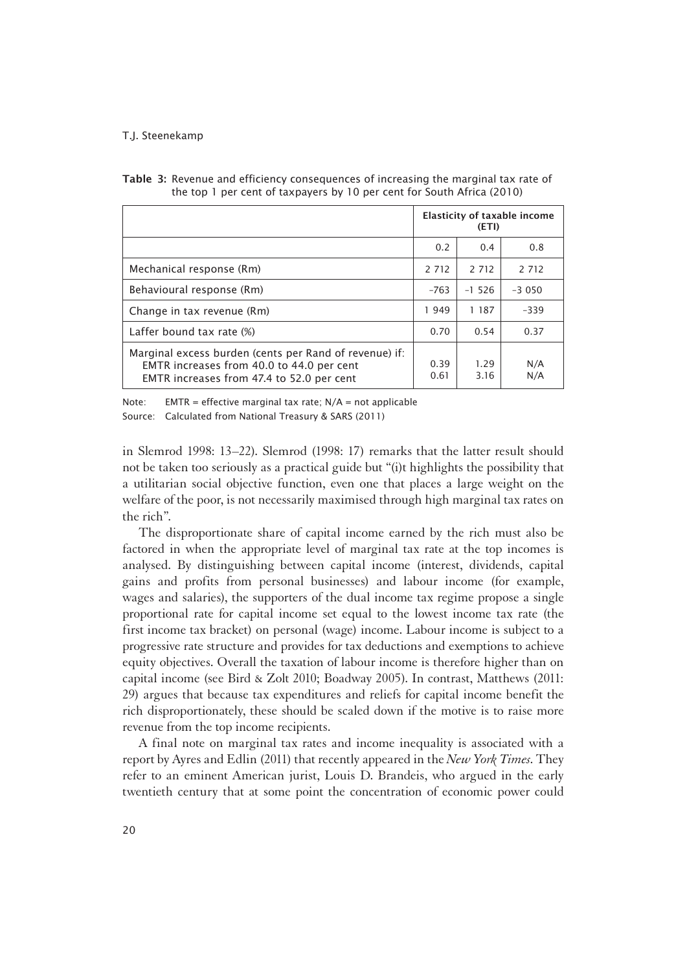|                                                                                                                                                  | Elasticity of taxable income<br>(ETI) |              |            |
|--------------------------------------------------------------------------------------------------------------------------------------------------|---------------------------------------|--------------|------------|
|                                                                                                                                                  | 0.2                                   | 0.4          | 0.8        |
| Mechanical response (Rm)                                                                                                                         | 2 7 1 2                               | 2 7 1 2      | 2 7 1 2    |
| Behavioural response (Rm)                                                                                                                        | $-763$                                | $-1, 526$    | $-3050$    |
| Change in tax revenue (Rm)                                                                                                                       | 1949                                  | 1 187        | $-339$     |
| Laffer bound tax rate (%)                                                                                                                        | 0.70                                  | 0.54         | 0.37       |
| Marginal excess burden (cents per Rand of revenue) if:<br>EMTR increases from 40.0 to 44.0 per cent<br>EMTR increases from 47.4 to 52.0 per cent |                                       | 1.29<br>3.16 | N/A<br>N/A |

Table 3: Revenue and efficiency consequences of increasing the marginal tax rate of the top 1 per cent of taxpayers by 10 per cent for South Africa (2010)

Note: EMTR = effective marginal tax rate;  $N/A$  = not applicable Source: Calculated from National Treasury & SARS (2011)

in Slemrod 1998: 13–22). Slemrod (1998: 17) remarks that the latter result should not be taken too seriously as a practical guide but "(i)t highlights the possibility that a utilitarian social objective function, even one that places a large weight on the welfare of the poor, is not necessarily maximised through high marginal tax rates on the rich".

The disproportionate share of capital income earned by the rich must also be factored in when the appropriate level of marginal tax rate at the top incomes is analysed. By distinguishing between capital income (interest, dividends, capital gains and profits from personal businesses) and labour income (for example, wages and salaries), the supporters of the dual income tax regime propose a single proportional rate for capital income set equal to the lowest income tax rate (the first income tax bracket) on personal (wage) income. Labour income is subject to a progressive rate structure and provides for tax deductions and exemptions to achieve equity objectives. Overall the taxation of labour income is therefore higher than on capital income (see Bird & Zolt 2010; Boadway 2005). In contrast, Matthews (2011: 29) argues that because tax expenditures and reliefs for capital income benefit the rich disproportionately, these should be scaled down if the motive is to raise more revenue from the top income recipients.

A final note on marginal tax rates and income inequality is associated with a report by Ayres and Edlin (2011) that recently appeared in the *New York Times*. They refer to an eminent American jurist, Louis D. Brandeis, who argued in the early twentieth century that at some point the concentration of economic power could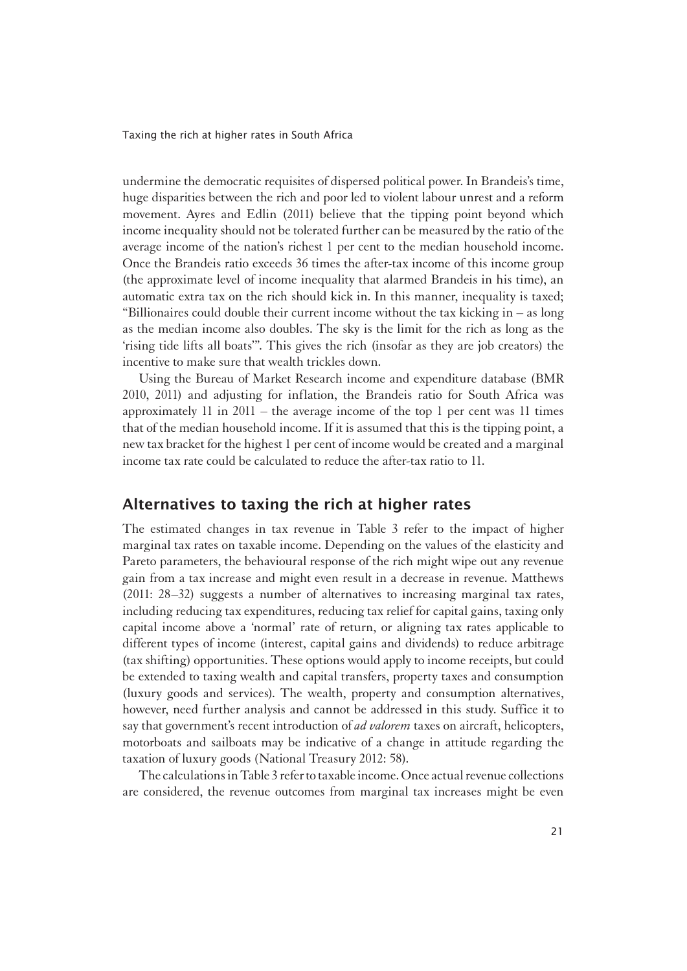undermine the democratic requisites of dispersed political power. In Brandeis's time, huge disparities between the rich and poor led to violent labour unrest and a reform movement. Ayres and Edlin (2011) believe that the tipping point beyond which income inequality should not be tolerated further can be measured by the ratio of the average income of the nation's richest 1 per cent to the median household income. Once the Brandeis ratio exceeds 36 times the after-tax income of this income group (the approximate level of income inequality that alarmed Brandeis in his time), an automatic extra tax on the rich should kick in. In this manner, inequality is taxed; "Billionaires could double their current income without the tax kicking in – as long as the median income also doubles. The sky is the limit for the rich as long as the 'rising tide lifts all boats'". This gives the rich (insofar as they are job creators) the incentive to make sure that wealth trickles down.

Using the Bureau of Market Research income and expenditure database (BMR 2010, 2011) and adjusting for inflation, the Brandeis ratio for South Africa was approximately 11 in 2011 – the average income of the top 1 per cent was 11 times that of the median household income. If it is assumed that this is the tipping point, a new tax bracket for the highest 1 per cent of income would be created and a marginal income tax rate could be calculated to reduce the after-tax ratio to 11.

### Alternatives to taxing the rich at higher rates

The estimated changes in tax revenue in Table 3 refer to the impact of higher marginal tax rates on taxable income. Depending on the values of the elasticity and Pareto parameters, the behavioural response of the rich might wipe out any revenue gain from a tax increase and might even result in a decrease in revenue. Matthews (2011: 28–32) suggests a number of alternatives to increasing marginal tax rates, including reducing tax expenditures, reducing tax relief for capital gains, taxing only capital income above a 'normal' rate of return, or aligning tax rates applicable to different types of income (interest, capital gains and dividends) to reduce arbitrage (tax shifting) opportunities. These options would apply to income receipts, but could be extended to taxing wealth and capital transfers, property taxes and consumption (luxury goods and services). The wealth, property and consumption alternatives, however, need further analysis and cannot be addressed in this study. Suffice it to say that government's recent introduction of *ad valorem* taxes on aircraft, helicopters, motorboats and sailboats may be indicative of a change in attitude regarding the taxation of luxury goods (National Treasury 2012: 58).

The calculations in Table 3 refer to taxable income. Once actual revenue collections are considered, the revenue outcomes from marginal tax increases might be even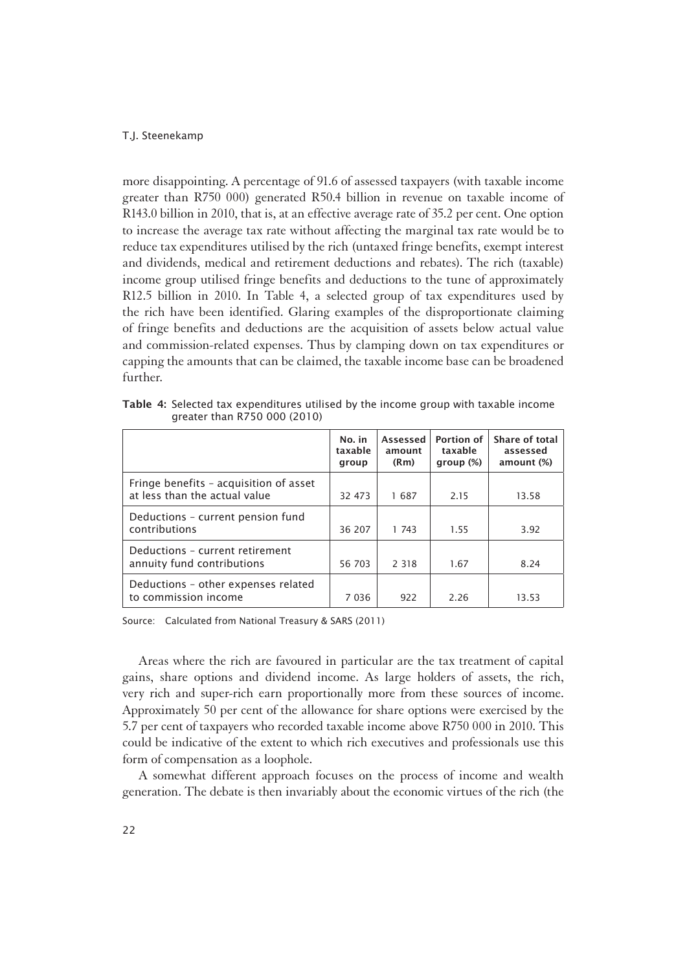more disappointing. A percentage of 91.6 of assessed taxpayers (with taxable income greater than R750 000) generated R50.4 billion in revenue on taxable income of R143.0 billion in 2010, that is, at an effective average rate of 35.2 per cent. One option to increase the average tax rate without affecting the marginal tax rate would be to reduce tax expenditures utilised by the rich (untaxed fringe benefits, exempt interest and dividends, medical and retirement deductions and rebates). The rich (taxable) income group utilised fringe benefits and deductions to the tune of approximately R12.5 billion in 2010. In Table 4, a selected group of tax expenditures used by the rich have been identified. Glaring examples of the disproportionate claiming of fringe benefits and deductions are the acquisition of assets below actual value and commission-related expenses. Thus by clamping down on tax expenditures or capping the amounts that can be claimed, the taxable income base can be broadened further.

Table 4: Selected tax expenditures utilised by the income group with taxable income greater than R750 000 (2010)

|                                                                         | No. in<br>taxable<br>group | Assessed<br>amount<br>(Rm) | <b>Portion of</b><br>taxable<br>group $(\%)$ | Share of total<br>assessed<br>amount (%) |
|-------------------------------------------------------------------------|----------------------------|----------------------------|----------------------------------------------|------------------------------------------|
| Fringe benefits - acquisition of asset<br>at less than the actual value | 32 473                     | 1687                       | 2.15                                         | 13.58                                    |
| Deductions - current pension fund<br>contributions                      | 36 207                     | 1 743                      | 1.55                                         | 3.92                                     |
| Deductions - current retirement<br>annuity fund contributions           | 56 703                     | 2 3 1 8                    | 1.67                                         | 8.24                                     |
| Deductions - other expenses related<br>to commission income             | 7 0 3 6                    | 922                        | 2 26                                         | 13.53                                    |

Source: Calculated from National Treasury & SARS (2011)

Areas where the rich are favoured in particular are the tax treatment of capital gains, share options and dividend income. As large holders of assets, the rich, very rich and super-rich earn proportionally more from these sources of income. Approximately 50 per cent of the allowance for share options were exercised by the 5.7 per cent of taxpayers who recorded taxable income above R750 000 in 2010. This could be indicative of the extent to which rich executives and professionals use this form of compensation as a loophole.

A somewhat different approach focuses on the process of income and wealth generation. The debate is then invariably about the economic virtues of the rich (the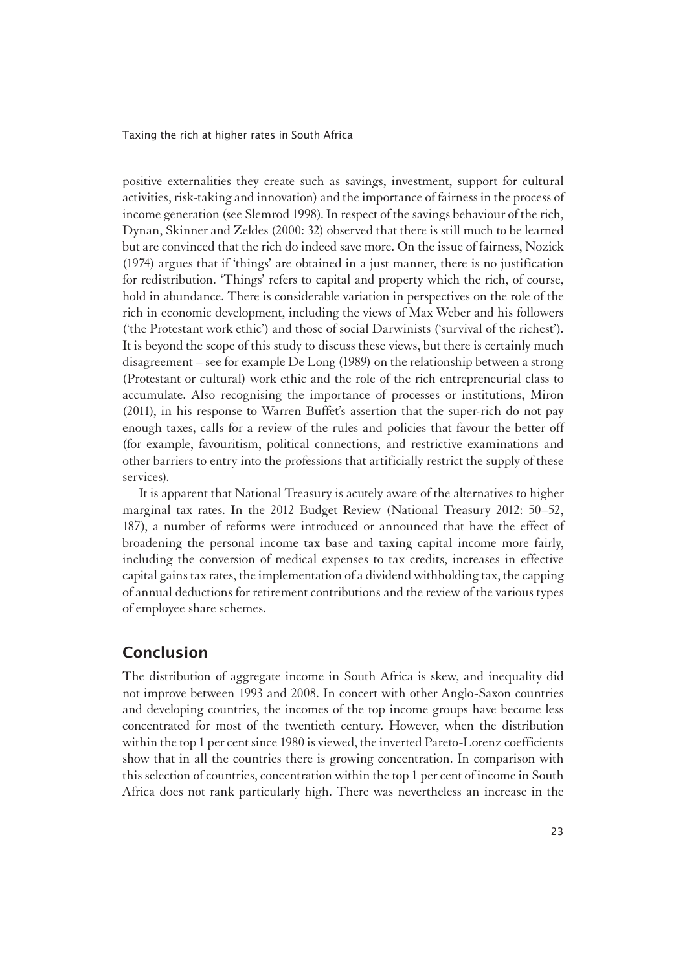positive externalities they create such as savings, investment, support for cultural activities, risk-taking and innovation) and the importance of fairness in the process of income generation (see Slemrod 1998). In respect of the savings behaviour of the rich, Dynan, Skinner and Zeldes (2000: 32) observed that there is still much to be learned but are convinced that the rich do indeed save more. On the issue of fairness, Nozick (1974) argues that if 'things' are obtained in a just manner, there is no justification for redistribution. 'Things' refers to capital and property which the rich, of course, hold in abundance. There is considerable variation in perspectives on the role of the rich in economic development, including the views of Max Weber and his followers ('the Protestant work ethic') and those of social Darwinists ('survival of the richest'). It is beyond the scope of this study to discuss these views, but there is certainly much disagreement – see for example De Long (1989) on the relationship between a strong (Protestant or cultural) work ethic and the role of the rich entrepreneurial class to accumulate. Also recognising the importance of processes or institutions, Miron (2011), in his response to Warren Buffet's assertion that the super-rich do not pay enough taxes, calls for a review of the rules and policies that favour the better off (for example, favouritism, political connections, and restrictive examinations and other barriers to entry into the professions that artificially restrict the supply of these services).

It is apparent that National Treasury is acutely aware of the alternatives to higher marginal tax rates. In the 2012 Budget Review (National Treasury 2012: 50–52, 187), a number of reforms were introduced or announced that have the effect of broadening the personal income tax base and taxing capital income more fairly, including the conversion of medical expenses to tax credits, increases in effective capital gains tax rates, the implementation of a dividend withholding tax, the capping of annual deductions for retirement contributions and the review of the various types of employee share schemes.

## Conclusion

1The distribution of aggregate income in South Africa is skew, and inequality did not improve between 1993 and 2008. In concert with other Anglo-Saxon countries and developing countries, the incomes of the top income groups have become less concentrated for most of the twentieth century. However, when the distribution within the top 1 per cent since 1980 is viewed, the inverted Pareto-Lorenz coefficients show that in all the countries there is growing concentration. In comparison with this selection of countries, concentration within the top 1 per cent of income in South Africa does not rank particularly high. There was nevertheless an increase in the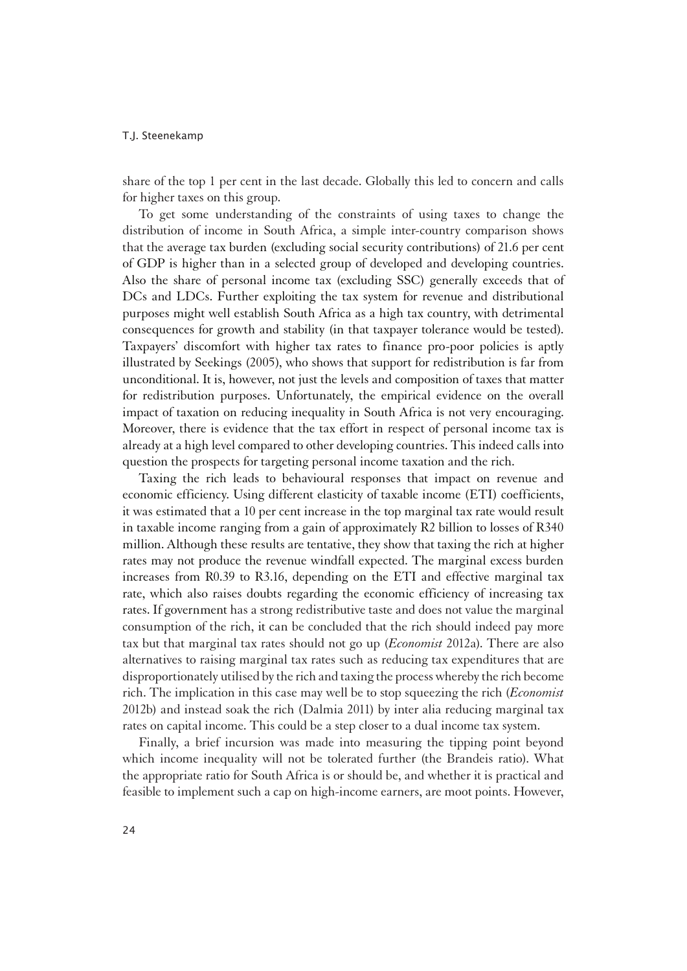share of the top 1 per cent in the last decade. Globally this led to concern and calls for higher taxes on this group.

To get some understanding of the constraints of using taxes to change the distribution of income in South Africa, a simple inter-country comparison shows that the average tax burden (excluding social security contributions) of 21.6 per cent of GDP is higher than in a selected group of developed and developing countries. Also the share of personal income tax (excluding SSC) generally exceeds that of DCs and LDCs. Further exploiting the tax system for revenue and distributional purposes might well establish South Africa as a high tax country, with detrimental consequences for growth and stability (in that taxpayer tolerance would be tested). Taxpayers' discomfort with higher tax rates to finance pro-poor policies is aptly illustrated by Seekings (2005), who shows that support for redistribution is far from unconditional. It is, however, not just the levels and composition of taxes that matter for redistribution purposes. Unfortunately, the empirical evidence on the overall impact of taxation on reducing inequality in South Africa is not very encouraging. Moreover, there is evidence that the tax effort in respect of personal income tax is already at a high level compared to other developing countries. This indeed calls into question the prospects for targeting personal income taxation and the rich.

Taxing the rich leads to behavioural responses that impact on revenue and economic efficiency. Using different elasticity of taxable income (ETI) coefficients, it was estimated that a 10 per cent increase in the top marginal tax rate would result in taxable income ranging from a gain of approximately R2 billion to losses of R340 million. Although these results are tentative, they show that taxing the rich at higher rates may not produce the revenue windfall expected. The marginal excess burden increases from R0.39 to R3.16, depending on the ETI and effective marginal tax rate, which also raises doubts regarding the economic efficiency of increasing tax rates. If government has a strong redistributive taste and does not value the marginal consumption of the rich, it can be concluded that the rich should indeed pay more tax but that marginal tax rates should not go up (*Economist* 2012a). There are also alternatives to raising marginal tax rates such as reducing tax expenditures that are disproportionately utilised by the rich and taxing the process whereby the rich become rich. The implication in this case may well be to stop squeezing the rich (*Economist* 2012b) and instead soak the rich (Dalmia 2011) by inter alia reducing marginal tax rates on capital income. This could be a step closer to a dual income tax system.

Finally, a brief incursion was made into measuring the tipping point beyond which income inequality will not be tolerated further (the Brandeis ratio). What the appropriate ratio for South Africa is or should be, and whether it is practical and feasible to implement such a cap on high-income earners, are moot points. However,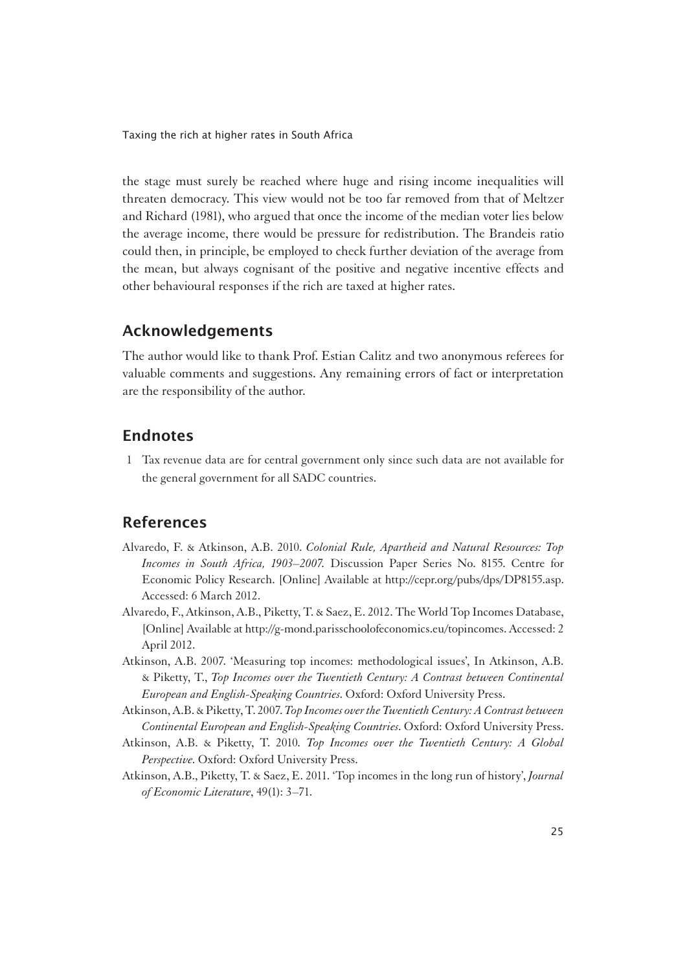the stage must surely be reached where huge and rising income inequalities will threaten democracy. This view would not be too far removed from that of Meltzer and Richard (1981), who argued that once the income of the median voter lies below the average income, there would be pressure for redistribution. The Brandeis ratio could then, in principle, be employed to check further deviation of the average from the mean, but always cognisant of the positive and negative incentive effects and other behavioural responses if the rich are taxed at higher rates.

## Acknowledgements

1The author would like to thank Prof. Estian Calitz and two anonymous referees for valuable comments and suggestions. Any remaining errors of fact or interpretation are the responsibility of the author.

## Endnotes

1 Tax revenue data are for central government only since such data are not available for the general government for all SADC countries.

## References

- Alvaredo, F. & Atkinson, A.B. 2010. *Colonial Rule, Apartheid and Natural Resources: Top Incomes in South Africa, 1903–2007.* Discussion Paper Series No. 8155. Centre for Economic Policy Research. [Online] Available at http://cepr.org/pubs/dps/DP8155.asp. Accessed: 6 March 2012.
- Alvaredo, F., Atkinson, A.B., Piketty, T. & Saez, E. 2012. The World Top Incomes Database, [Online] Available at http://g-mond.parisschoolofeconomics.eu/topincomes. Accessed: 2 April 2012.
- Atkinson, A.B. 2007. 'Measuring top incomes: methodological issues', In Atkinson, A.B. & Piketty, T., *Top Incomes over the Twentieth Century: A Contrast between Continental European and English-Speaking Countries*. Oxford: Oxford University Press.
- Atkinson, A.B. & Piketty, T. 2007. *Top Incomes over the Twentieth Century: A Contrast between Continental European and English-Speaking Countries*. Oxford: Oxford University Press.
- Atkinson, A.B. & Piketty, T. 2010*. Top Incomes over the Twentieth Century: A Global Perspective*. Oxford: Oxford University Press.
- Atkinson, A.B., Piketty, T. & Saez, E. 2011. 'Top incomes in the long run of history', *Journal of Economic Literature*, 49(1): 3–71.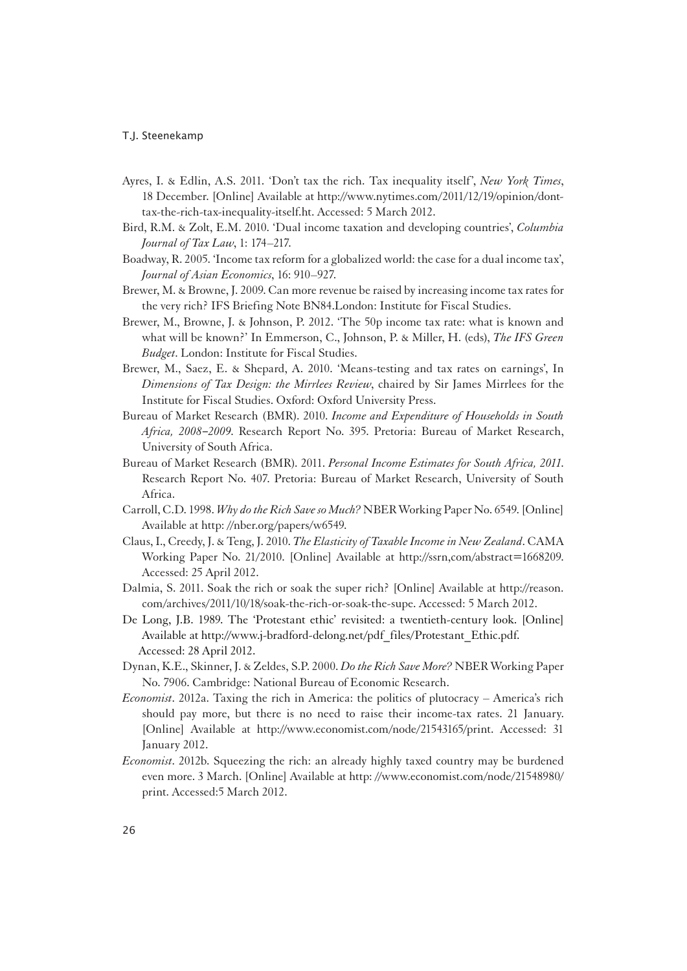- Ayres, I. & Edlin, A.S. 2011. 'Don't tax the rich. Tax inequality itself', *New York Times*, 18 December. [Online] Available at http://www.nytimes.com/2011/12/19/opinion/donttax-the-rich-tax-inequality-itself.ht. Accessed: 5 March 2012.
- Bird, R.M. & Zolt, E.M. 2010. 'Dual income taxation and developing countries', *Columbia Journal of Tax Law*, 1: 174–217.
- Boadway, R. 2005. 'Income tax reform for a globalized world: the case for a dual income tax', *Journal of Asian Economics*, 16: 910–927.
- Brewer, M. & Browne, J. 2009. Can more revenue be raised by increasing income tax rates for the very rich? IFS Briefing Note BN84.London: Institute for Fiscal Studies.
- Brewer, M., Browne, J. & Johnson, P. 2012. 'The 50p income tax rate: what is known and what will be known?' In Emmerson, C., Johnson, P. & Miller, H. (eds), *The IFS Green Budget*. London: Institute for Fiscal Studies.
- Brewer, M., Saez, E. & Shepard, A. 2010. 'Means-testing and tax rates on earnings', In *Dimensions of Tax Design: the Mirrlees Review*, chaired by Sir James Mirrlees for the Institute for Fiscal Studies. Oxford: Oxford University Press.
- Bureau of Market Research (BMR). 2010. *Income and Expenditure of Households in South Africa, 2008*–*2009*. Research Report No. 395. Pretoria: Bureau of Market Research, University of South Africa.
- Bureau of Market Research (BMR). 2011. *Personal Income Estimates for South Africa, 2011*. Research Report No. 407. Pretoria: Bureau of Market Research, University of South Africa.
- Carroll, C.D. 1998. *Why do the Rich Save so Much?* NBER Working Paper No. 6549. [Online] Available at http: //nber.org/papers/w6549.
- Claus, I., Creedy, J. & Teng, J. 2010. *The Elasticity of Taxable Income in New Zealand*. CAMA Working Paper No. 21/2010. [Online] Available at http://ssrn,com/abstract=1668209. Accessed: 25 April 2012.
- Dalmia, S. 2011. Soak the rich or soak the super rich? [Online] Available at http://reason. com/archives/2011/10/18/soak-the-rich-or-soak-the-supe. Accessed: 5 March 2012.
- De Long, J.B. 1989. The 'Protestant ethic' revisited: a twentieth-century look. [Online] Available at http://www.j-bradford-delong.net/pdf\_files/Protestant\_Ethic.pdf. Accessed: 28 April 2012.
- Dynan, K.E., Skinner, J. & Zeldes, S.P. 2000. *Do the Rich Save More?* NBER Working Paper No. 7906. Cambridge: National Bureau of Economic Research.
- *Economist*. 2012a. Taxing the rich in America: the politics of plutocracy America's rich should pay more, but there is no need to raise their income-tax rates. 21 January. [Online] Available at http://www.economist.com/node/21543165/print. Accessed: 31 January 2012.
- *Economist.* 2012b. Squeezing the rich: an already highly taxed country may be burdened even more. 3 March. [Online] Available at http: //www.economist.com/node/21548980/ print. Accessed:5 March 2012.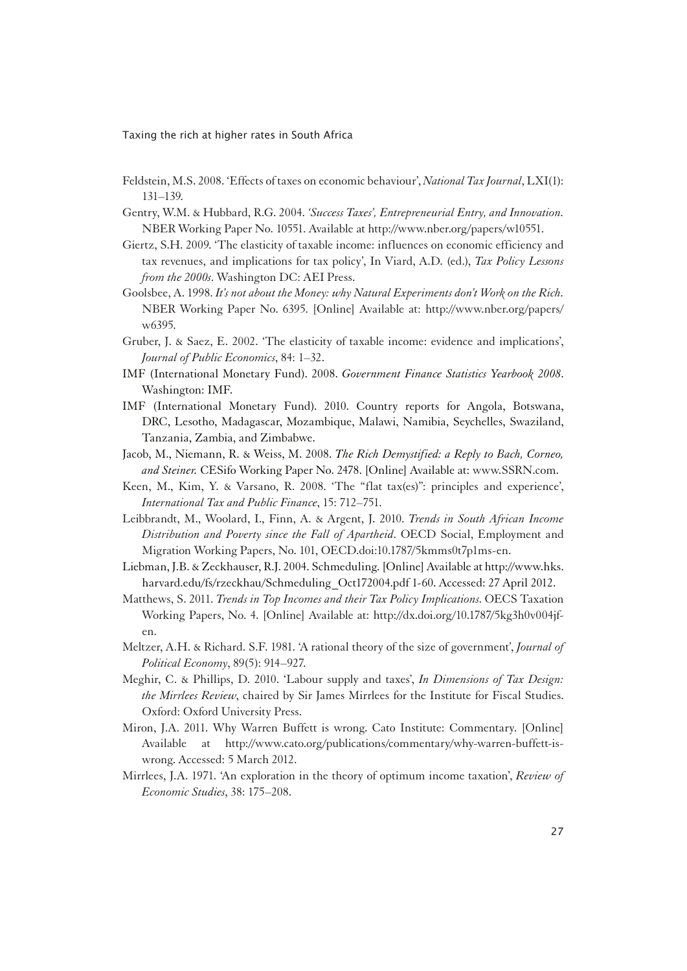- Feldstein, M.S. 2008. 'Effects of taxes on economic behaviour', *National Tax Journal*, LXI(1): 131–139.
- Gentry, W.M. & Hubbard, R.G. 2004. *'Success Taxes', Entrepreneurial Entry, and Innovation.* NBER Working Paper No. 10551. Available at http://www.nber.org/papers/w10551.
- Giertz, S.H. 2009. 'The elasticity of taxable income: influences on economic efficiency and tax revenues, and implications for tax policy', In Viard, A.D. (ed.), *Tax Policy Lessons from the 2000s*. Washington DC: AEI Press.
- Goolsbee, A. 1998. *It's not about the Money: why Natural Experiments don't Work on the Rich.* NBER Working Paper No. 6395. [Online] Available at: http://www.nber.org/papers/ w6395.
- Gruber, J. & Saez, E. 2002. 'The elasticity of taxable income: evidence and implications', *Journal of Public Economics*, 84: 1–32.
- IMF (International Monetary Fund). 2008. *Government Finance Statistics Yearbook 2008*. Washington: IMF.
- IMF (International Monetary Fund). 2010. Country reports for Angola, Botswana, DRC, Lesotho, Madagascar, Mozambique, Malawi, Namibia, Seychelles, Swaziland, Tanzania, Zambia, and Zimbabwe.
- Jacob, M., Niemann, R. & Weiss, M. 2008. *The Rich Demystified: a Reply to Bach, Corneo, and Steiner.* CESifo Working Paper No. 2478. [Online] Available at: www.SSRN.com.
- Keen, M., Kim, Y. & Varsano, R. 2008. 'The "flat tax(es)": principles and experience', *International Tax and Public Finance*, 15: 712–751.
- Leibbrandt, M., Woolard, I., Finn, A. & Argent, J. 2010. *Trends in South African Income Distribution and Poverty since the Fall of Apartheid*. OECD Social, Employment and Migration Working Papers, No. 101, OECD.doi:10.1787/5kmms0t7p1ms-en.
- Liebman, J.B. & Zeckhauser, R.J. 2004. Schmeduling. [Online] Available at http://www.hks. harvard.edu/fs/rzeckhau/Schmeduling\_Oct172004.pdf 1-60. Accessed: 27 April 2012.
- Matthews, S. 2011. *Trends in Top Incomes and their Tax Policy Implications*. OECS Taxation Working Papers, No. 4. [Online] Available at: http://dx.doi.org/10.1787/5kg3h0v004jfen.
- Meltzer, A.H. & Richard. S.F. 1981. 'A rational theory of the size of government', *Journal of Political Economy*, 89(5): 914–927.
- Meghir, C. & Phillips, D. 2010. 'Labour supply and taxes', *In Dimensions of Tax Design: the Mirrlees Review*, chaired by Sir James Mirrlees for the Institute for Fiscal Studies. Oxford: Oxford University Press.
- Miron, J.A. 2011. Why Warren Buffett is wrong. Cato Institute: Commentary. [Online] Available at http://www.cato.org/publications/commentary/why-warren-buffett-iswrong. Accessed: 5 March 2012.
- Mirrlees, J.A. 1971. 'An exploration in the theory of optimum income taxation', *Review of Economic Studies*, 38: 175–208.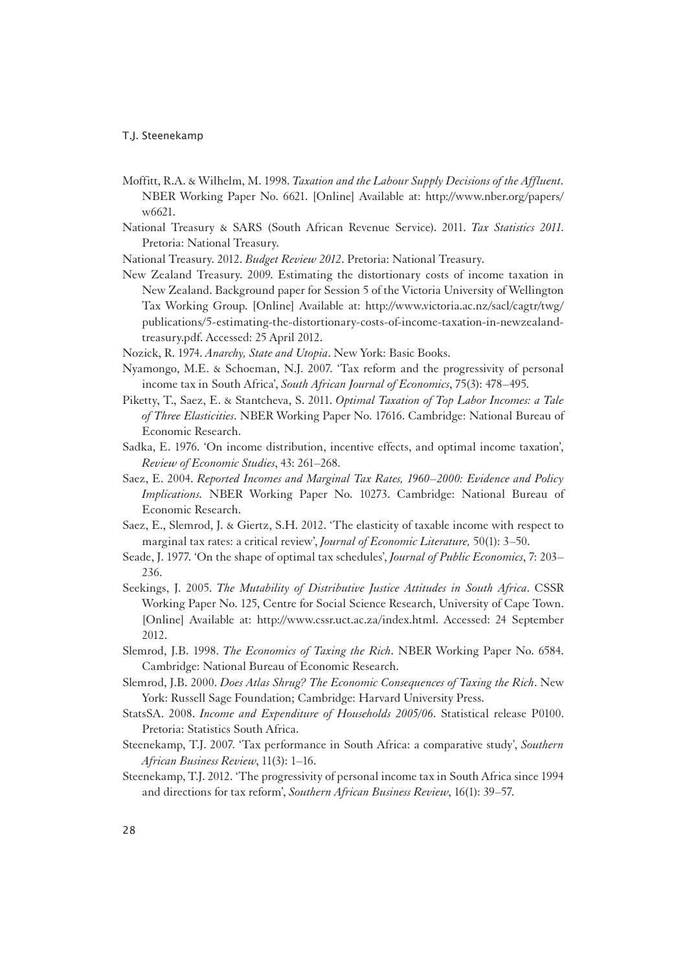- Moffitt, R.A. & Wilhelm, M. 1998. *Taxation and the Labour Supply Decisions of the Affluent.* NBER Working Paper No. 6621. [Online] Available at: http://www.nber.org/papers/ w6621.
- National Treasury & SARS (South African Revenue Service). 2011. *Tax Statistics 2011*. Pretoria: National Treasury.
- National Treasury. 2012. *Budget Review 2012*. Pretoria: National Treasury.
- New Zealand Treasury. 2009. Estimating the distortionary costs of income taxation in New Zealand. Background paper for Session 5 of the Victoria University of Wellington Tax Working Group. [Online] Available at: http://www.victoria.ac.nz/sacl/cagtr/twg/ publications/5-estimating-the-distortionary-costs-of-income-taxation-in-newzealandtreasury.pdf. Accessed: 25 April 2012.
- Nozick, R. 1974. *Anarchy, State and Utopia*. New York: Basic Books.
- Nyamongo, M.E. & Schoeman, N.J. 2007. 'Tax reform and the progressivity of personal income tax in South Africa', *South African Journal of Economics*, 75(3): 478–495.
- Piketty, T., Saez, E. & Stantcheva, S. 2011. *Optimal Taxation of Top Labor Incomes: a Tale of Three Elasticities*. NBER Working Paper No. 17616. Cambridge: National Bureau of Economic Research.
- Sadka, E. 1976. 'On income distribution, incentive effects, and optimal income taxation', *Review of Economic Studies*, 43: 261–268.
- Saez, E. 2004. *Reported Incomes and Marginal Tax Rates, 1960–2000: Evidence and Policy Implications.* NBER Working Paper No. 10273. Cambridge: National Bureau of Economic Research.
- Saez, E., Slemrod, J. & Giertz, S.H. 2012. 'The elasticity of taxable income with respect to marginal tax rates: a critical review', *Journal of Economic Literature,* 50(1): 3–50.
- Seade, J. 1977. 'On the shape of optimal tax schedules', *Journal of Public Economics*, 7: 203– 236.
- Seekings, J. 2005. *The Mutability of Distributive Justice Attitudes in South Africa*. CSSR Working Paper No. 125, Centre for Social Science Research, University of Cape Town. [Online] Available at: http://www.cssr.uct.ac.za/index.html. Accessed: 24 September 2012.
- Slemrod, J.B. 1998. *The Economics of Taxing the Rich*. NBER Working Paper No. 6584. Cambridge: National Bureau of Economic Research.
- Slemrod, J.B. 2000. *Does Atlas Shrug? The Economic Consequences of Taxing the Rich*. New York: Russell Sage Foundation; Cambridge: Harvard University Press.
- StatsSA. 2008. *Income and Expenditure of Households 2005/06*. Statistical release P0100. Pretoria: Statistics South Africa.
- Steenekamp, T.J. 2007. 'Tax performance in South Africa: a comparative study', *Southern African Business Review*, 11(3): 1–16.
- Steenekamp, T.J. 2012. 'The progressivity of personal income tax in South Africa since 1994 and directions for tax reform', *Southern African Business Review*, 16(1): 39–57.